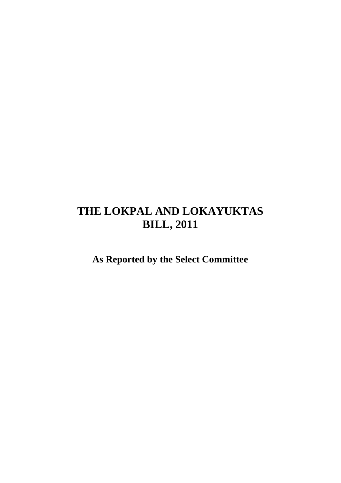# **THE LOKPAL AND LOKAYUKTAS BILL, 2011**

**As Reported by the Select Committee**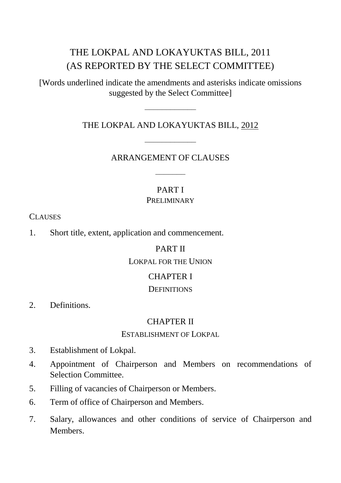# THE LOKPAL AND LOKAYUKTAS BILL, 2011 (AS REPORTED BY THE SELECT COMMITTEE)

[Words underlined indicate the amendments and asterisks indicate omissions suggested by the Select Committee]

# –––––––––––– THE LOKPAL AND LOKAYUKTAS BILL, 2012

# –––––––––––– ARRANGEMENT OF CLAUSES

–––––––

#### PART I PRELIMINARY

CLAUSES

1. Short title, extent, application and commencement.

### PART II

#### LOKPAL FOR THE UNION

### CHAPTER I

### **DEFINITIONS**

2. Definitions.

### CHAPTER II

#### ESTABLISHMENT OF LOKPAL

- 3. Establishment of Lokpal.
- 4. Appointment of Chairperson and Members on recommendations of Selection Committee.
- 5. Filling of vacancies of Chairperson or Members.
- 6. Term of office of Chairperson and Members.
- 7. Salary, allowances and other conditions of service of Chairperson and **Members**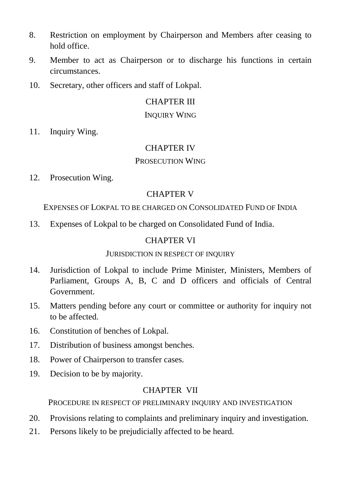- 8. Restriction on employment by Chairperson and Members after ceasing to hold office.
- 9. Member to act as Chairperson or to discharge his functions in certain circumstances.
- 10. Secretary, other officers and staff of Lokpal.

# CHAPTER III

#### INQUIRY WING

11. Inquiry Wing.

# CHAPTER IV

### PROSECUTION WING

12. Prosecution Wing.

# CHAPTER V

EXPENSES OF LOKPAL TO BE CHARGED ON CONSOLIDATED FUND OF INDIA

13. Expenses of Lokpal to be charged on Consolidated Fund of India.

# CHAPTER VI

### JURISDICTION IN RESPECT OF INQUIRY

- 14. Jurisdiction of Lokpal to include Prime Minister, Ministers, Members of Parliament, Groups A, B, C and D officers and officials of Central Government.
- 15. Matters pending before any court or committee or authority for inquiry not to be affected.
- 16. Constitution of benches of Lokpal.
- 17. Distribution of business amongst benches.
- 18. Power of Chairperson to transfer cases.
- 19. Decision to be by majority.

# CHAPTER VII

PROCEDURE IN RESPECT OF PRELIMINARY INQUIRY AND INVESTIGATION

- 20. Provisions relating to complaints and preliminary inquiry and investigation.
- 21. Persons likely to be prejudicially affected to be heard.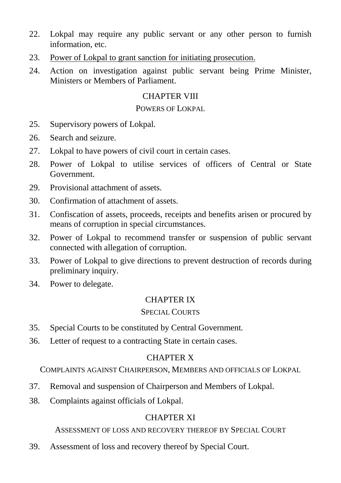- 22. Lokpal may require any public servant or any other person to furnish information, etc.
- 23. Power of Lokpal to grant sanction for initiating prosecution.
- 24. Action on investigation against public servant being Prime Minister, Ministers or Members of Parliament.

# CHAPTER VIII

#### POWERS OF LOKPAL

- 25. Supervisory powers of Lokpal.
- 26. Search and seizure.
- 27. Lokpal to have powers of civil court in certain cases.
- 28. Power of Lokpal to utilise services of officers of Central or State Government.
- 29. Provisional attachment of assets.
- 30. Confirmation of attachment of assets.
- 31. Confiscation of assets, proceeds, receipts and benefits arisen or procured by means of corruption in special circumstances.
- 32. Power of Lokpal to recommend transfer or suspension of public servant connected with allegation of corruption.
- 33. Power of Lokpal to give directions to prevent destruction of records during preliminary inquiry.
- 34. Power to delegate.

### CHAPTER IX

### SPECIAL COURTS

- 35. Special Courts to be constituted by Central Government.
- 36. Letter of request to a contracting State in certain cases.

### CHAPTER X

COMPLAINTS AGAINST CHAIRPERSON, MEMBERS AND OFFICIALS OF LOKPAL

- 37. Removal and suspension of Chairperson and Members of Lokpal.
- 38. Complaints against officials of Lokpal.

# CHAPTER XI

# ASSESSMENT OF LOSS AND RECOVERY THEREOF BY SPECIAL COURT

39. Assessment of loss and recovery thereof by Special Court.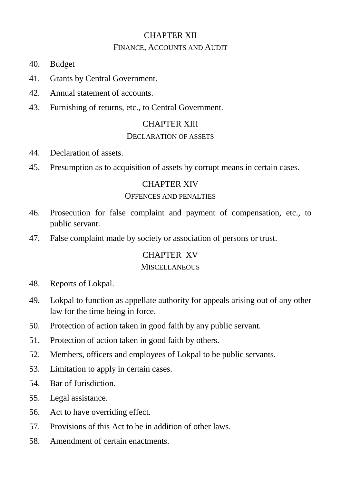# CHAPTER XII FINANCE, ACCOUNTS AND AUDIT

- 40. Budget
- 41. Grants by Central Government.
- 42. Annual statement of accounts.
- 43. Furnishing of returns, etc., to Central Government.

#### CHAPTER XIII

#### DECLARATION OF ASSETS

- 44. Declaration of assets.
- 45. Presumption as to acquisition of assets by corrupt means in certain cases.

#### CHAPTER XIV

#### OFFENCES AND PENALTIES

- 46. Prosecution for false complaint and payment of compensation, etc., to public servant.
- 47. False complaint made by society or association of persons or trust.

### CHAPTER XV

#### MISCELLANEOUS

- 48. Reports of Lokpal.
- 49. Lokpal to function as appellate authority for appeals arising out of any other law for the time being in force.
- 50. Protection of action taken in good faith by any public servant.
- 51. Protection of action taken in good faith by others.
- 52. Members, officers and employees of Lokpal to be public servants.
- 53. Limitation to apply in certain cases.
- 54. Bar of Jurisdiction.
- 55. Legal assistance.
- 56. Act to have overriding effect.
- 57. Provisions of this Act to be in addition of other laws.
- 58. Amendment of certain enactments.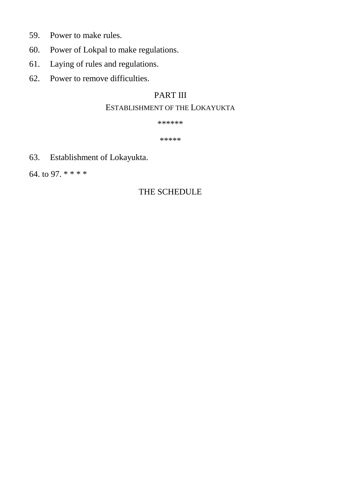- 59. Power to make rules.
- 60. Power of Lokpal to make regulations.
- 61. Laying of rules and regulations.
- 62. Power to remove difficulties.

# PART III

# ESTABLISHMENT OF THE LOKAYUKTA

\*\*\*\*\*\*

\*\*\*\*\*

63. Establishment of Lokayukta.

64. to 97. \* \* \* \*

# THE SCHEDULE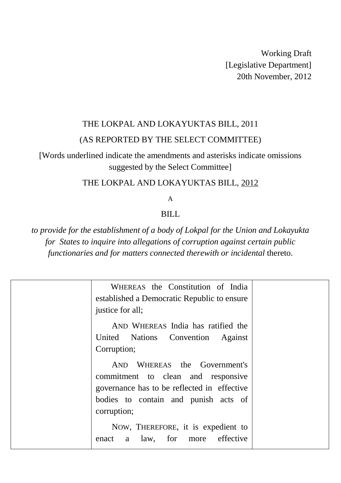Working Draft [Legislative Department] 20th November, 2012

# THE LOKPAL AND LOKAYUKTAS BILL, 2011 (AS REPORTED BY THE SELECT COMMITTEE)

[Words underlined indicate the amendments and asterisks indicate omissions suggested by the Select Committee]

# THE LOKPAL AND LOKAYUKTAS BILL, 2012

A

### **BILL**

*to provide for the establishment of a body of Lokpal for the Union and Lokayukta for States to inquire into allegations of corruption against certain public functionaries and for matters connected therewith or incidental* thereto.

| WHEREAS the Constitution of India<br>established a Democratic Republic to ensure<br>justice for all;                                                                     |  |
|--------------------------------------------------------------------------------------------------------------------------------------------------------------------------|--|
| AND WHEREAS India has ratified the<br>United Nations Convention Against<br>Corruption;                                                                                   |  |
| AND WHEREAS the Government's<br>commitment to clean and responsive<br>governance has to be reflected in effective<br>bodies to contain and punish acts of<br>corruption; |  |
| NOW, THEREFORE, it is expedient to<br>effective<br>law, for<br>enact<br>a<br>more                                                                                        |  |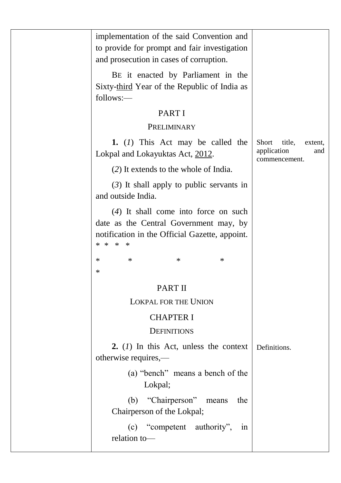| implementation of the said Convention and<br>to provide for prompt and fair investigation<br>and prosecution in cases of corruption.                  |                                                                   |
|-------------------------------------------------------------------------------------------------------------------------------------------------------|-------------------------------------------------------------------|
| BE it enacted by Parliament in the<br>Sixty-third Year of the Republic of India as<br>follows:—                                                       |                                                                   |
| PART I                                                                                                                                                |                                                                   |
| PRELIMINARY                                                                                                                                           |                                                                   |
| 1. $(I)$ This Act may be called the<br>Lokpal and Lokayuktas Act, 2012.                                                                               | Short<br>title,<br>extent.<br>application<br>and<br>commencement. |
| (2) It extends to the whole of India.                                                                                                                 |                                                                   |
| $(3)$ It shall apply to public servants in<br>and outside India.                                                                                      |                                                                   |
| $(4)$ It shall come into force on such<br>date as the Central Government may, by<br>notification in the Official Gazette, appoint.<br>* * *<br>$\ast$ |                                                                   |
| $\ast$<br>$\ast$<br>$\ast$<br>∗<br>$\ast$                                                                                                             |                                                                   |
| PART II                                                                                                                                               |                                                                   |
| <b>LOKPAL FOR THE UNION</b>                                                                                                                           |                                                                   |
| <b>CHAPTER I</b>                                                                                                                                      |                                                                   |
| <b>DEFINITIONS</b>                                                                                                                                    |                                                                   |
| 2. $(l)$ In this Act, unless the context<br>otherwise requires,—                                                                                      | Definitions.                                                      |
| (a) "bench" means a bench of the<br>Lokpal;                                                                                                           |                                                                   |
| "Chairperson" means<br>(b)<br>the<br>Chairperson of the Lokpal;                                                                                       |                                                                   |
| "competent authority",<br>(c)<br>in<br>relation to-                                                                                                   |                                                                   |
|                                                                                                                                                       |                                                                   |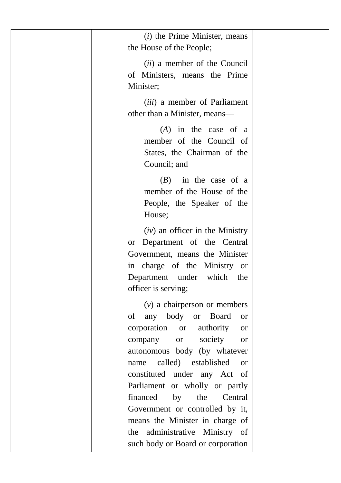| $(i)$ the Prime Minister, means<br>the House of the People;                                                                                                                                                                                                                                                                                                                                                                                                          |  |
|----------------------------------------------------------------------------------------------------------------------------------------------------------------------------------------------------------------------------------------------------------------------------------------------------------------------------------------------------------------------------------------------------------------------------------------------------------------------|--|
| <i>(ii)</i> a member of the Council<br>of Ministers, means the Prime<br>Minister;                                                                                                                                                                                                                                                                                                                                                                                    |  |
| <i>(iii)</i> a member of Parliament<br>other than a Minister, means-                                                                                                                                                                                                                                                                                                                                                                                                 |  |
| $(A)$ in the case of a<br>member of the Council of<br>States, the Chairman of the<br>Council; and                                                                                                                                                                                                                                                                                                                                                                    |  |
| in the case of a<br>(B)<br>member of the House of the<br>People, the Speaker of the<br>House;                                                                                                                                                                                                                                                                                                                                                                        |  |
| $(iv)$ an officer in the Ministry<br>or Department of the Central<br>Government, means the Minister<br>in charge of the Ministry or<br>Department under which the<br>officer is serving;                                                                                                                                                                                                                                                                             |  |
| $(v)$ a chairperson or members<br>of any body or<br>Board<br><b>or</b><br>corporation<br><sub>or</sub><br>authority<br><b>or</b><br>society<br>company<br><b>or</b><br><b>or</b><br>autonomous body (by whatever<br>called) established<br>name<br><b>or</b><br>constituted under any Act of<br>Parliament or wholly or partly<br>financed by the<br>Central<br>Government or controlled by it,<br>means the Minister in charge of<br>the administrative Ministry of |  |
| such body or Board or corporation                                                                                                                                                                                                                                                                                                                                                                                                                                    |  |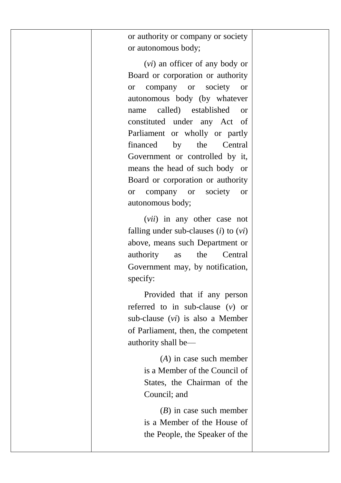or authority or company or society or autonomous body;

(*vi*) an officer of any body or Board or corporation or authority or company or society or autonomous body (by whatever name called) established or constituted under any Act of Parliament or wholly or partly financed by the Central Government or controlled by it, means the head of such body or Board or corporation or authority or company or society or autonomous body;

(*vii*) in any other case not falling under sub-clauses (*i*) to (*vi*) above, means such Department or authority as the Central Government may, by notification, specify:

Provided that if any person referred to in sub-clause (*v*) or sub-clause (*vi*) is also a Member of Parliament, then, the competent authority shall be—

> (*A*) in case such member is a Member of the Council of States, the Chairman of the Council; and

> (*B*) in case such member is a Member of the House of the People, the Speaker of the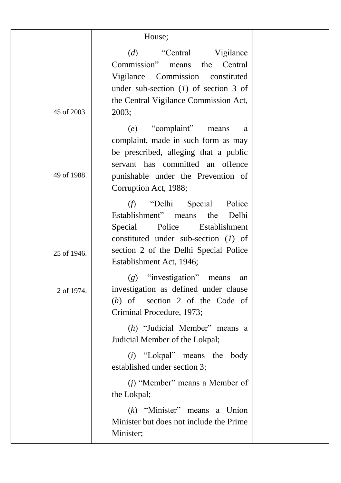|             | House;                                                                              |  |
|-------------|-------------------------------------------------------------------------------------|--|
|             | (d)<br>Vigilance<br>"Central"                                                       |  |
|             | Commission"<br>Central<br>means<br>the                                              |  |
|             | Vigilance<br>Commission<br>constituted                                              |  |
|             | under sub-section $(I)$ of section 3 of                                             |  |
|             | the Central Vigilance Commission Act,                                               |  |
| 45 of 2003. | 2003;                                                                               |  |
|             | "complaint"<br>(e)<br>means<br>a                                                    |  |
|             | complaint, made in such form as may                                                 |  |
|             | be prescribed, alleging that a public                                               |  |
|             | servant has committed an offence                                                    |  |
| 49 of 1988. | punishable under the Prevention of                                                  |  |
|             | Corruption Act, 1988;                                                               |  |
|             | (f)<br>"Delhi<br>Special<br>Police                                                  |  |
|             | Establishment"<br>the<br>Delhi<br>means                                             |  |
|             | Police<br>Special<br><b>Establishment</b><br>constituted under sub-section $(I)$ of |  |
|             | section 2 of the Delhi Special Police                                               |  |
| 25 of 1946. | Establishment Act, 1946;                                                            |  |
|             | $(g)$ "investigation"<br>means<br>an                                                |  |
| 2 of 1974.  | investigation as defined under clause                                               |  |
|             | section 2 of the Code of<br>$(h)$ of                                                |  |
|             | Criminal Procedure, 1973;                                                           |  |
|             | (h) "Judicial Member" means a                                                       |  |
|             | Judicial Member of the Lokpal;                                                      |  |
|             | $(i)$ "Lokpal" means the body                                                       |  |
|             | established under section 3;                                                        |  |
|             | $(i)$ "Member" means a Member of                                                    |  |
|             | the Lokpal;                                                                         |  |
|             | $(k)$ "Minister" means a Union                                                      |  |
|             | Minister but does not include the Prime                                             |  |
|             | Minister;                                                                           |  |
|             |                                                                                     |  |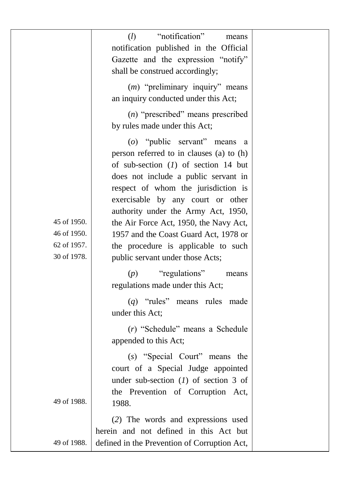|             | "notification"<br>$\Omega$<br>means<br>notification published in the Official<br>Gazette and the expression "notify"<br>shall be construed accordingly;<br>$(m)$ "preliminary inquiry" means                                                                                                                            |  |
|-------------|-------------------------------------------------------------------------------------------------------------------------------------------------------------------------------------------------------------------------------------------------------------------------------------------------------------------------|--|
|             | an inquiry conducted under this Act;                                                                                                                                                                                                                                                                                    |  |
|             | $(n)$ "prescribed" means prescribed<br>by rules made under this Act;                                                                                                                                                                                                                                                    |  |
| 45 of 1950. | (o) "public servant" means a<br>person referred to in clauses (a) to (h)<br>of sub-section $(1)$ of section 14 but<br>does not include a public servant in<br>respect of whom the jurisdiction is<br>exercisable by any court or other<br>authority under the Army Act, 1950,<br>the Air Force Act, 1950, the Navy Act, |  |
| 46 of 1950. | 1957 and the Coast Guard Act, 1978 or                                                                                                                                                                                                                                                                                   |  |
| 62 of 1957. | the procedure is applicable to such                                                                                                                                                                                                                                                                                     |  |
| 30 of 1978. | public servant under those Acts;                                                                                                                                                                                                                                                                                        |  |
|             | "regulations"<br>(p)<br>means<br>regulations made under this Act;                                                                                                                                                                                                                                                       |  |
|             | $(q)$ "rules" means rules made<br>under this Act;                                                                                                                                                                                                                                                                       |  |
|             | (r) "Schedule" means a Schedule<br>appended to this Act;                                                                                                                                                                                                                                                                |  |
| 49 of 1988. | (s) "Special Court" means the<br>court of a Special Judge appointed<br>under sub-section $(l)$ of section 3 of<br>the Prevention of Corruption Act,<br>1988.                                                                                                                                                            |  |
|             | (2) The words and expressions used                                                                                                                                                                                                                                                                                      |  |
|             | herein and not defined in this Act but                                                                                                                                                                                                                                                                                  |  |
| 49 of 1988. | defined in the Prevention of Corruption Act,                                                                                                                                                                                                                                                                            |  |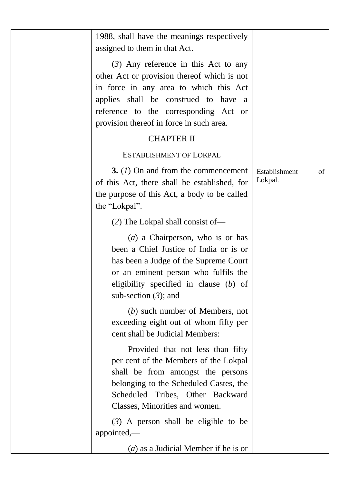| 1988, shall have the meanings respectively<br>assigned to them in that Act.                                                                                                                                                                                                                                         |                                |
|---------------------------------------------------------------------------------------------------------------------------------------------------------------------------------------------------------------------------------------------------------------------------------------------------------------------|--------------------------------|
| $(3)$ Any reference in this Act to any<br>other Act or provision thereof which is not<br>in force in any area to which this Act<br>applies shall be construed to have a<br>reference to the corresponding Act or<br>provision thereof in force in such area.<br><b>CHAPTER II</b><br><b>ESTABLISHMENT OF LOKPAL</b> |                                |
| 3. $(I)$ On and from the commencement<br>of this Act, there shall be established, for<br>the purpose of this Act, a body to be called<br>the "Lokpal".                                                                                                                                                              | Establishment<br>of<br>Lokpal. |
| (2) The Lokpal shall consist of—                                                                                                                                                                                                                                                                                    |                                |
| $(a)$ a Chairperson, who is or has<br>been a Chief Justice of India or is or<br>has been a Judge of the Supreme Court<br>or an eminent person who fulfils the<br>eligibility specified in clause $(b)$ of<br>sub-section $(3)$ ; and                                                                                |                                |
| $(b)$ such number of Members, not<br>exceeding eight out of whom fifty per<br>cent shall be Judicial Members:                                                                                                                                                                                                       |                                |
| Provided that not less than fifty<br>per cent of the Members of the Lokpal<br>shall be from amongst the persons<br>belonging to the Scheduled Castes, the<br>Scheduled Tribes, Other Backward<br>Classes, Minorities and women.                                                                                     |                                |
| $(3)$ A person shall be eligible to be<br>appointed,-                                                                                                                                                                                                                                                               |                                |
| $(a)$ as a Judicial Member if he is or                                                                                                                                                                                                                                                                              |                                |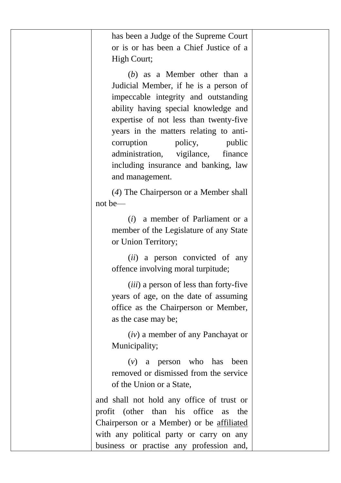| has been a Judge of the Supreme Court<br>or is or has been a Chief Justice of a<br>High Court;                                                                                                                                                                                                                                                                                        |  |
|---------------------------------------------------------------------------------------------------------------------------------------------------------------------------------------------------------------------------------------------------------------------------------------------------------------------------------------------------------------------------------------|--|
| $(b)$ as a Member other than a<br>Judicial Member, if he is a person of<br>impeccable integrity and outstanding<br>ability having special knowledge and<br>expertise of not less than twenty-five<br>years in the matters relating to anti-<br>corruption<br>policy,<br>public<br>administration,<br>vigilance,<br>finance<br>including insurance and banking, law<br>and management. |  |
| (4) The Chairperson or a Member shall<br>$not be$ —                                                                                                                                                                                                                                                                                                                                   |  |
| $(i)$ a member of Parliament or a<br>member of the Legislature of any State<br>or Union Territory;                                                                                                                                                                                                                                                                                    |  |
| (ii) a person convicted of any<br>offence involving moral turpitude;                                                                                                                                                                                                                                                                                                                  |  |
| (iii) a person of less than forty-five<br>years of age, on the date of assuming<br>office as the Chairperson or Member,<br>as the case may be;                                                                                                                                                                                                                                        |  |
| $(iv)$ a member of any Panchayat or<br>Municipality;                                                                                                                                                                                                                                                                                                                                  |  |
| a person who has<br>$(\nu)$<br>been<br>removed or dismissed from the service<br>of the Union or a State,                                                                                                                                                                                                                                                                              |  |
| and shall not hold any office of trust or<br>profit (other than his<br>office<br><b>as</b><br>the<br>Chairperson or a Member) or be affiliated<br>with any political party or carry on any<br>business or practise any profession and,                                                                                                                                                |  |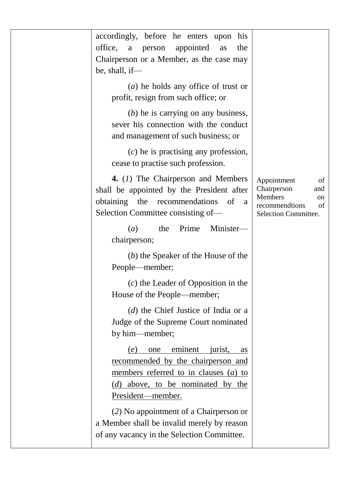| accordingly, before he enters upon<br>his<br>office,<br>appointed<br>a<br>person<br>the<br>as<br>Chairperson or a Member, as the case may<br>be, shall, if-                |                                                                                                          |
|----------------------------------------------------------------------------------------------------------------------------------------------------------------------------|----------------------------------------------------------------------------------------------------------|
| $(a)$ he holds any office of trust or<br>profit, resign from such office; or                                                                                               |                                                                                                          |
| $(b)$ he is carrying on any business,<br>sever his connection with the conduct<br>and management of such business; or                                                      |                                                                                                          |
| $(c)$ he is practising any profession,<br>cease to practise such profession.                                                                                               |                                                                                                          |
| 4. (1) The Chairperson and Members<br>shall be appointed by the President after<br>obtaining the recommendations<br>of<br>a<br>Selection Committee consisting of-          | Appointment<br>of<br>Chairperson<br>and<br>Members<br>on<br>recommendtions<br>of<br>Selection Committee. |
| (a)<br>the<br>Prime<br>Minister-<br>chairperson;                                                                                                                           |                                                                                                          |
| $(b)$ the Speaker of the House of the<br>People—member;                                                                                                                    |                                                                                                          |
| $(c)$ the Leader of Opposition in the<br>House of the People—member;                                                                                                       |                                                                                                          |
| $(d)$ the Chief Justice of India or a<br>Judge of the Supreme Court nominated<br>by him-member;                                                                            |                                                                                                          |
| one eminent jurist, as<br>(e)<br>recommended by the chairperson and<br>members referred to in clauses $(a)$ to<br>$(d)$ above, to be nominated by the<br>President-member. |                                                                                                          |
| (2) No appointment of a Chairperson or<br>a Member shall be invalid merely by reason<br>of any vacancy in the Selection Committee.                                         |                                                                                                          |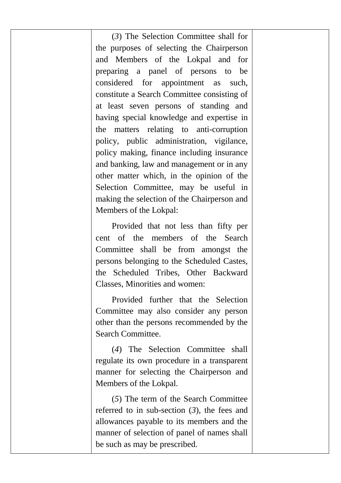(*3*) The Selection Committee shall for the purposes of selecting the Chairperson and Members of the Lokpal and for preparing a panel of persons to be considered for appointment as such, constitute a Search Committee consisting of at least seven persons of standing and having special knowledge and expertise in the matters relating to anti-corruption policy, public administration, vigilance, policy making, finance including insurance and banking, law and management or in any other matter which, in the opinion of the Selection Committee, may be useful in making the selection of the Chairperson and Members of the Lokpal:

Provided that not less than fifty per cent of the members of the Search Committee shall be from amongst the persons belonging to the Scheduled Castes, the Scheduled Tribes, Other Backward Classes, Minorities and women:

Provided further that the Selection Committee may also consider any person other than the persons recommended by the Search Committee.

(*4*) The Selection Committee shall regulate its own procedure in a transparent manner for selecting the Chairperson and Members of the Lokpal.

(*5*) The term of the Search Committee referred to in sub-section (*3*), the fees and allowances payable to its members and the manner of selection of panel of names shall be such as may be prescribed.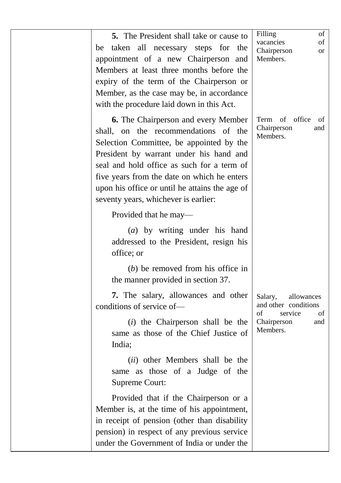| 5. The President shall take or cause to<br>be taken all necessary steps for the<br>appointment of a new Chairperson and<br>Members at least three months before the<br>expiry of the term of the Chairperson or<br>Member, as the case may be, in accordance<br>with the procedure laid down in this Act.                                                        | Filling<br>of<br>vacancies<br>οf<br>Chairperson<br>or<br>Members.                                      |
|------------------------------------------------------------------------------------------------------------------------------------------------------------------------------------------------------------------------------------------------------------------------------------------------------------------------------------------------------------------|--------------------------------------------------------------------------------------------------------|
| <b>6.</b> The Chairperson and every Member<br>shall, on the recommendations of the<br>Selection Committee, be appointed by the<br>President by warrant under his hand and<br>seal and hold office as such for a term of<br>five years from the date on which he enters<br>upon his office or until he attains the age of<br>seventy years, whichever is earlier: | Term of office<br>of<br>Chairperson<br>and<br>Members.                                                 |
| Provided that he may—<br>(a) by writing under his hand<br>addressed to the President, resign his<br>office; or<br>$(b)$ be removed from his office in                                                                                                                                                                                                            |                                                                                                        |
| the manner provided in section 37.<br>7. The salary, allowances and other<br>conditions of service of-<br>( <i>i</i> ) the Chairperson shall be the<br>same as those of the Chief Justice of<br>India;                                                                                                                                                           | Salary,<br>allowances<br>and other conditions<br>service<br>οf<br>of<br>Chairperson<br>and<br>Members. |
| (ii) other Members shall be the<br>same as those of a Judge of the<br>Supreme Court:                                                                                                                                                                                                                                                                             |                                                                                                        |
| Provided that if the Chairperson or a<br>Member is, at the time of his appointment,<br>in receipt of pension (other than disability<br>pension) in respect of any previous service<br>under the Government of India or under the                                                                                                                                 |                                                                                                        |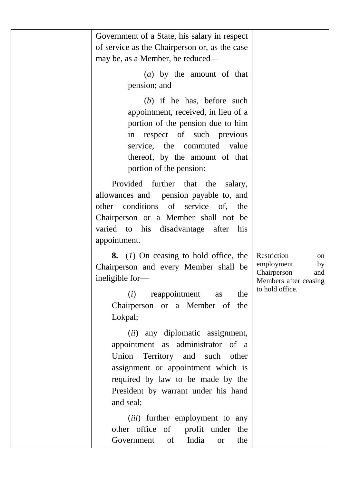| Government of a State, his salary in respect<br>of service as the Chairperson or, as the case<br>may be, as a Member, be reduced—                                                                                                                             |                                                                                                         |
|---------------------------------------------------------------------------------------------------------------------------------------------------------------------------------------------------------------------------------------------------------------|---------------------------------------------------------------------------------------------------------|
| $(a)$ by the amount of that<br>pension; and                                                                                                                                                                                                                   |                                                                                                         |
| $(b)$ if he has, before such<br>appointment, received, in lieu of a<br>portion of the pension due to him<br>respect of such<br>previous<br>in<br>service,<br>the<br>commuted value<br>thereof, by the amount of that<br>portion of the pension:               |                                                                                                         |
| Provided further<br>that<br>the<br>salary,<br>allowances and<br>pension payable to, and<br>conditions<br>of<br>service<br>other<br>of.<br>the<br>Chairperson or a Member shall not be<br>his<br>disadvantage after<br>varied to<br>his<br>appointment.        |                                                                                                         |
| 8. (1) On ceasing to hold office, the<br>Chairperson and every Member shall be<br>ineligible for-<br>(i)<br>reappointment<br>the<br>as<br>Chairperson or a Member of<br>the<br>Lokpal;                                                                        | Restriction<br>on<br>employment<br>by<br>Chairperson<br>and<br>Members after ceasing<br>to hold office. |
| any diplomatic assignment,<br>(ii)<br>administrator<br>appointment<br>as<br>of a<br>Union<br>Territory<br>and<br>such<br>other<br>assignment or appointment which is<br>required by law to be made by the<br>President by warrant under his hand<br>and seal; |                                                                                                         |
| (iii) further employment to any<br>other office of<br>profit under<br>the<br>India<br>of<br>the<br>Government<br><sub>or</sub>                                                                                                                                |                                                                                                         |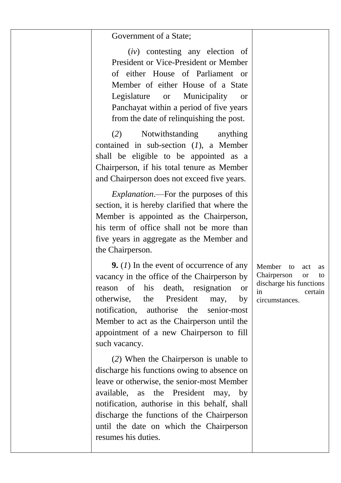#### Government of a State;

(*iv*) contesting any election of President or Vice-President or Member of either House of Parliament or Member of either House of a State Legislature or Municipality or Panchayat within a period of five years from the date of relinquishing the post.

(*2*) Notwithstanding anything contained in sub-section (*1*), a Member shall be eligible to be appointed as a Chairperson, if his total tenure as Member and Chairperson does not exceed five years.

*Explanation*.—For the purposes of this section, it is hereby clarified that where the Member is appointed as the Chairperson, his term of office shall not be more than five years in aggregate as the Member and the Chairperson.

**9.** (*1*) In the event of occurrence of any vacancy in the office of the Chairperson by reason of his death, resignation or otherwise, the President may, by notification, authorise the senior-most Member to act as the Chairperson until the appointment of a new Chairperson to fill such vacancy.

(*2*) When the Chairperson is unable to discharge his functions owing to absence on leave or otherwise, the senior-most Member available, as the President may, by notification, authorise in this behalf, shall discharge the functions of the Chairperson until the date on which the Chairperson resumes his duties.

Member to act as Chairperson or to discharge his functions in certain circumstances.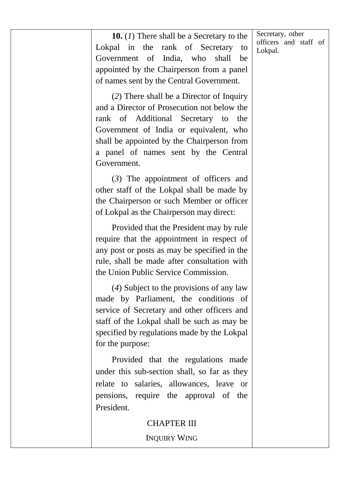Secretary, other officers and staff of Lokpal.

**10.** (*1*) There shall be a Secretary to the Lokpal in the rank of Secretary to Government of India, who shall be appointed by the Chairperson from a panel of names sent by the Central Government.

(*2*) There shall be a Director of Inquiry and a Director of Prosecution not below the rank of Additional Secretary to the Government of India or equivalent, who shall be appointed by the Chairperson from a panel of names sent by the Central Government.

(*3*) The appointment of officers and other staff of the Lokpal shall be made by the Chairperson or such Member or officer of Lokpal as the Chairperson may direct:

Provided that the President may by rule require that the appointment in respect of any post or posts as may be specified in the rule, shall be made after consultation with the Union Public Service Commission.

(*4*) Subject to the provisions of any law made by Parliament, the conditions of service of Secretary and other officers and staff of the Lokpal shall be such as may be specified by regulations made by the Lokpal for the purpose:

Provided that the regulations made under this sub-section shall, so far as they relate to salaries, allowances, leave or pensions, require the approval of the President.

### CHAPTER III

INQUIRY WING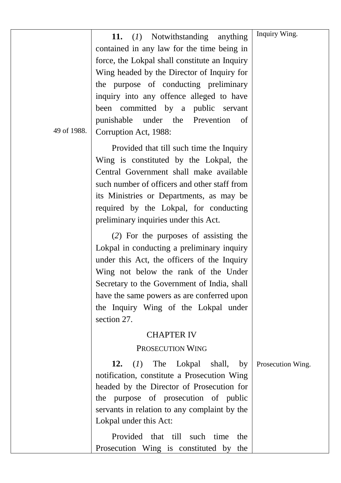|             | Notwithstanding<br>11.<br>(I)<br>anything     | Inquiry Wing.     |
|-------------|-----------------------------------------------|-------------------|
|             | contained in any law for the time being in    |                   |
|             | force, the Lokpal shall constitute an Inquiry |                   |
|             | Wing headed by the Director of Inquiry for    |                   |
|             | the purpose of conducting preliminary         |                   |
|             | inquiry into any offence alleged to have      |                   |
|             | been committed by a public servant            |                   |
|             | punishable<br>under the<br>Prevention<br>οf   |                   |
| 49 of 1988. | Corruption Act, 1988:                         |                   |
|             | Provided that till such time the Inquiry      |                   |
|             | Wing is constituted by the Lokpal, the        |                   |
|             | Central Government shall make available       |                   |
|             | such number of officers and other staff from  |                   |
|             | its Ministries or Departments, as may be      |                   |
|             | required by the Lokpal, for conducting        |                   |
|             | preliminary inquiries under this Act.         |                   |
|             | (2) For the purposes of assisting the         |                   |
|             | Lokpal in conducting a preliminary inquiry    |                   |
|             | under this Act, the officers of the Inquiry   |                   |
|             | Wing not below the rank of the Under          |                   |
|             | Secretary to the Government of India, shall   |                   |
|             | have the same powers as are conferred upon    |                   |
|             | the Inquiry Wing of the Lokpal under          |                   |
|             | section 27.                                   |                   |
|             | <b>CHAPTER IV</b>                             |                   |
|             | PROSECUTION WING                              |                   |
|             | 12.<br>(I)<br>The<br>Lokpal<br>shall,<br>by   | Prosecution Wing. |
|             | notification, constitute a Prosecution Wing   |                   |
|             | headed by the Director of Prosecution for     |                   |
|             | the purpose of prosecution of public          |                   |
|             | servants in relation to any complaint by the  |                   |
|             | Lokpal under this Act:                        |                   |
|             | Provided that till such time<br>the           |                   |
|             | Prosecution Wing is constituted by the        |                   |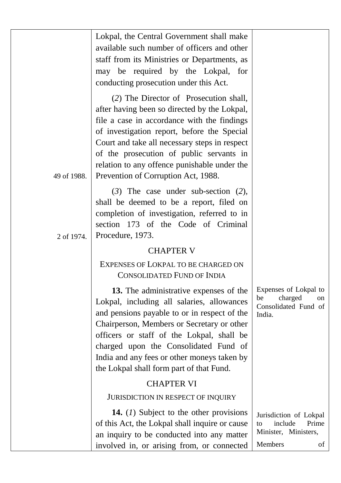|             | Lokpal, the Central Government shall make<br>available such number of officers and other<br>staff from its Ministries or Departments, as<br>may be required by the Lokpal,<br>for<br>conducting prosecution under this Act.                                                                                                                                              |                                                                                           |
|-------------|--------------------------------------------------------------------------------------------------------------------------------------------------------------------------------------------------------------------------------------------------------------------------------------------------------------------------------------------------------------------------|-------------------------------------------------------------------------------------------|
| 49 of 1988. | (2) The Director of Prosecution shall,<br>after having been so directed by the Lokpal,<br>file a case in accordance with the findings<br>of investigation report, before the Special<br>Court and take all necessary steps in respect<br>of the prosecution of public servants in<br>relation to any offence punishable under the<br>Prevention of Corruption Act, 1988. |                                                                                           |
| 2 of 1974.  | $(3)$ The case under sub-section $(2)$ ,<br>shall be deemed to be a report, filed on<br>completion of investigation, referred to in<br>section 173 of the Code of Criminal<br>Procedure, 1973.                                                                                                                                                                           |                                                                                           |
|             | <b>CHAPTER V</b>                                                                                                                                                                                                                                                                                                                                                         |                                                                                           |
|             | EXPENSES OF LOKPAL TO BE CHARGED ON<br><b>CONSOLIDATED FUND OF INDIA</b>                                                                                                                                                                                                                                                                                                 |                                                                                           |
|             | 13. The administrative expenses of the<br>Lokpal, including all salaries, allowances<br>and pensions payable to or in respect of the<br>Chairperson, Members or Secretary or other<br>officers or staff of the Lokpal, shall be<br>charged upon the Consolidated Fund of<br>India and any fees or other moneys taken by<br>the Lokpal shall form part of that Fund.      | Expenses of Lokpal to<br>be<br>charged<br>on<br>Consolidated Fund of<br>India.            |
|             | <b>CHAPTER VI</b>                                                                                                                                                                                                                                                                                                                                                        |                                                                                           |
|             | JURISDICTION IN RESPECT OF INQUIRY                                                                                                                                                                                                                                                                                                                                       |                                                                                           |
|             | 14. $(I)$ Subject to the other provisions<br>of this Act, the Lokpal shall inquire or cause<br>an inquiry to be conducted into any matter<br>involved in, or arising from, or connected                                                                                                                                                                                  | Jurisdiction of Lokpal<br>include<br>Prime<br>to<br>Minister, Ministers,<br>Members<br>of |
|             |                                                                                                                                                                                                                                                                                                                                                                          |                                                                                           |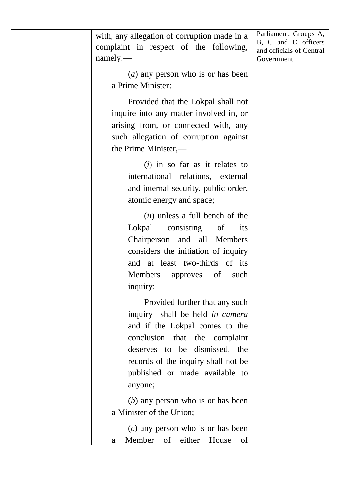with, any allegation of corruption made in a complaint in respect of the following, namely:— (*a*) any person who is or has been a Prime Minister: Provided that the Lokpal shall not inquire into any matter involved in, or arising from, or connected with, any such allegation of corruption against the Prime Minister,— (*i*) in so far as it relates to international relations, external and internal security, public order, atomic energy and space; (*ii*) unless a full bench of the Lokpal consisting of its Chairperson and all Members considers the initiation of inquiry and at least two-thirds of its Members approves of such inquiry: Provided further that any such inquiry shall be held *in camera* and if the Lokpal comes to the conclusion that the complaint deserves to be dismissed, the records of the inquiry shall not be published or made available to anyone; (*b*) any person who is or has been a Minister of the Union; (*c*) any person who is or has been a Member of either House of Parliament, Groups A, B, C and D officers and officials of Central Government.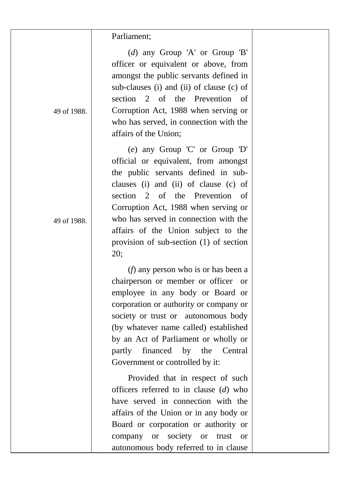| Parliament; |
|-------------|
|-------------|

 $\mathsf{l}$ 

| 49 of 1988. | (d) any Group 'A' or Group 'B'<br>officer or equivalent or above, from<br>amongst the public servants defined in<br>sub-clauses (i) and (ii) of clause (c) of<br>of<br>the<br>Prevention<br>section<br>2<br>of<br>Corruption Act, 1988 when serving or<br>who has served, in connection with the<br>affairs of the Union;                                                                                             |
|-------------|-----------------------------------------------------------------------------------------------------------------------------------------------------------------------------------------------------------------------------------------------------------------------------------------------------------------------------------------------------------------------------------------------------------------------|
| 49 of 1988. | (e) any Group 'C' or Group 'D'<br>official or equivalent, from amongst<br>the public servants defined in sub-<br>clauses (i) and (ii) of clause (c) of<br>of<br>Prevention<br>section<br>2<br>the<br>οf<br>Corruption Act, 1988 when serving or<br>who has served in connection with the<br>affairs of the Union subject to the<br>provision of sub-section (1) of section<br>20;                                     |
|             | $(f)$ any person who is or has been a<br>chairperson or member or officer<br><sub>or</sub><br>employee in any body or Board or<br>corporation or authority or company or<br>society or trust or autonomous body<br>(by whatever name called) established<br>by an Act of Parliament or wholly or<br>Central<br>partly<br>financed<br>by<br>the<br>Government or controlled by it:<br>Provided that in respect of such |
|             | officers referred to in clause $(d)$ who<br>have served in connection with the<br>affairs of the Union or in any body or<br>Board or corporation or authority or<br>society<br>company<br><b>or</b><br>trust<br><b>or</b><br><b>or</b><br>autonomous body referred to in clause                                                                                                                                       |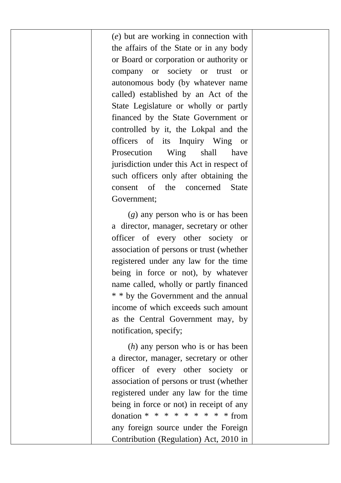(*e*) but are working in connection with the affairs of the State or in any body or Board or corporation or authority or company or society or trust or autonomous body (by whatever name called) established by an Act of the State Legislature or wholly or partly financed by the State Government or controlled by it, the Lokpal and the officers of its Inquiry Wing or Prosecution Wing shall have jurisdiction under this Act in respect of such officers only after obtaining the consent of the concerned State Government;

(*g*) any person who is or has been a director, manager, secretary or other officer of every other society or association of persons or trust (whether registered under any law for the time being in force or not), by whatever name called, wholly or partly financed \* \* by the Government and the annual income of which exceeds such amount as the Central Government may, by notification, specify;

(*h*) any person who is or has been a director, manager, secretary or other officer of every other society or association of persons or trust (whether registered under any law for the time being in force or not) in receipt of any donation \* \* \* \* \* \* \* \* \* \* from any foreign source under the Foreign Contribution (Regulation) Act, 2010 in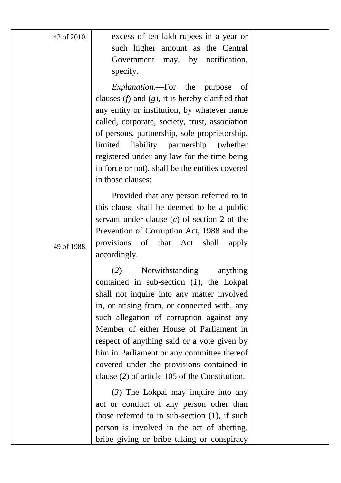| 42 of 2010. | excess of ten lakh rupees in a year or<br>such higher amount as the Central<br>Government<br>may,<br>by<br>notification,<br>specify.                                                                                                                                                                                                                                                                                                                               |  |
|-------------|--------------------------------------------------------------------------------------------------------------------------------------------------------------------------------------------------------------------------------------------------------------------------------------------------------------------------------------------------------------------------------------------------------------------------------------------------------------------|--|
|             | Explanation.-For the<br>purpose<br>οf<br>clauses $(f)$ and $(g)$ , it is hereby clarified that<br>any entity or institution, by whatever name<br>called, corporate, society, trust, association<br>of persons, partnership, sole proprietorship,<br>limited<br>liability<br>partnership<br>(whether)<br>registered under any law for the time being<br>in force or not), shall be the entities covered<br>in those clauses:                                        |  |
| 49 of 1988. | Provided that any person referred to in<br>this clause shall be deemed to be a public<br>servant under clause $(c)$ of section 2 of the<br>Prevention of Corruption Act, 1988 and the<br>provisions<br>of<br>that<br>shall<br>Act<br>apply<br>accordingly.                                                                                                                                                                                                         |  |
|             | (2)<br>Notwithstanding<br>anything<br>contained in sub-section $(1)$ , the Lokpal<br>shall not inquire into any matter involved<br>in, or arising from, or connected with, any<br>such allegation of corruption against any<br>Member of either House of Parliament in<br>respect of anything said or a vote given by<br>him in Parliament or any committee thereof<br>covered under the provisions contained in<br>clause (2) of article 105 of the Constitution. |  |
|             | $(3)$ The Lokpal may inquire into any<br>act or conduct of any person other than<br>those referred to in sub-section $(1)$ , if such<br>person is involved in the act of abetting,<br>bribe giving or bribe taking or conspiracy                                                                                                                                                                                                                                   |  |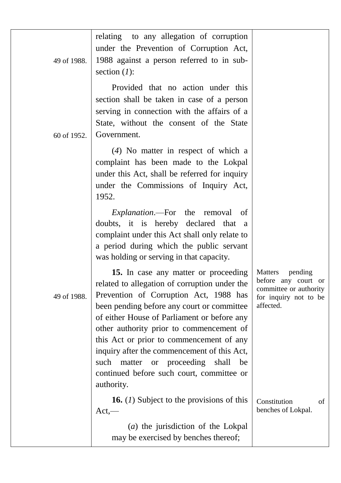| 49 of 1988. | relating to any allegation of corruption<br>under the Prevention of Corruption Act,<br>1988 against a person referred to in sub-<br>section $(l)$ :                                                                                                                                                                                                                                                                                                                           |                                                                                                           |
|-------------|-------------------------------------------------------------------------------------------------------------------------------------------------------------------------------------------------------------------------------------------------------------------------------------------------------------------------------------------------------------------------------------------------------------------------------------------------------------------------------|-----------------------------------------------------------------------------------------------------------|
| 60 of 1952. | Provided that no action under this<br>section shall be taken in case of a person<br>serving in connection with the affairs of a<br>State, without the consent of the State<br>Government.                                                                                                                                                                                                                                                                                     |                                                                                                           |
|             | $(4)$ No matter in respect of which a<br>complaint has been made to the Lokpal<br>under this Act, shall be referred for inquiry<br>under the Commissions of Inquiry Act,<br>1952.                                                                                                                                                                                                                                                                                             |                                                                                                           |
|             | <i>Explanation</i> .—For the removal<br>of<br>doubts, it is hereby declared that<br>a<br>complaint under this Act shall only relate to<br>a period during which the public servant<br>was holding or serving in that capacity.                                                                                                                                                                                                                                                |                                                                                                           |
| 49 of 1988. | 15. In case any matter or proceeding<br>related to allegation of corruption under the<br>Prevention of Corruption Act, 1988 has<br>been pending before any court or committee<br>of either House of Parliament or before any<br>other authority prior to commencement of<br>this Act or prior to commencement of any<br>inquiry after the commencement of this Act,<br>or proceeding<br>shall<br>such matter<br>be<br>continued before such court, committee or<br>authority. | Matters<br>pending<br>before any court or<br>committee or authority<br>for inquiry not to be<br>affected. |
|             | <b>16.</b> (1) Subject to the provisions of this<br>$Act, -$                                                                                                                                                                                                                                                                                                                                                                                                                  | Constitution<br>of<br>benches of Lokpal.                                                                  |
|             | $(a)$ the jurisdiction of the Lokpal<br>may be exercised by benches thereof;                                                                                                                                                                                                                                                                                                                                                                                                  |                                                                                                           |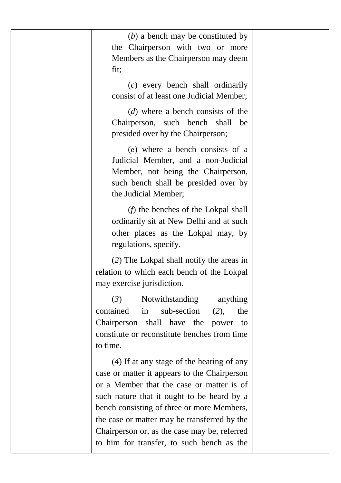| $(b)$ a bench may be constituted by<br>the Chairperson with two or more<br>Members as the Chairperson may deem<br>fit;<br>$(c)$ every bench shall ordinarily                                                                                                                                                                         |  |
|--------------------------------------------------------------------------------------------------------------------------------------------------------------------------------------------------------------------------------------------------------------------------------------------------------------------------------------|--|
| consist of at least one Judicial Member;<br>$(d)$ where a bench consists of the<br>Chairperson, such bench shall be<br>presided over by the Chairperson;                                                                                                                                                                             |  |
| (e) where a bench consists of a<br>Judicial Member, and a non-Judicial<br>Member, not being the Chairperson,<br>such bench shall be presided over by<br>the Judicial Member;                                                                                                                                                         |  |
| $(f)$ the benches of the Lokpal shall<br>ordinarily sit at New Delhi and at such<br>other places as the Lokpal may, by<br>regulations, specify.                                                                                                                                                                                      |  |
| (2) The Lokpal shall notify the areas in<br>relation to which each bench of the Lokpal<br>may exercise jurisdiction.                                                                                                                                                                                                                 |  |
| (3)<br>Notwithstanding<br>anything<br>contained<br>in<br>sub-section<br>(2),<br>the<br>Chairperson shall have<br>the<br>power<br>to<br>constitute or reconstitute benches from time<br>to time.                                                                                                                                      |  |
| $(4)$ If at any stage of the hearing of any<br>case or matter it appears to the Chairperson<br>or a Member that the case or matter is of<br>such nature that it ought to be heard by a<br>bench consisting of three or more Members,<br>the case or matter may be transferred by the<br>Chairperson or, as the case may be, referred |  |
| to him for transfer, to such bench as the                                                                                                                                                                                                                                                                                            |  |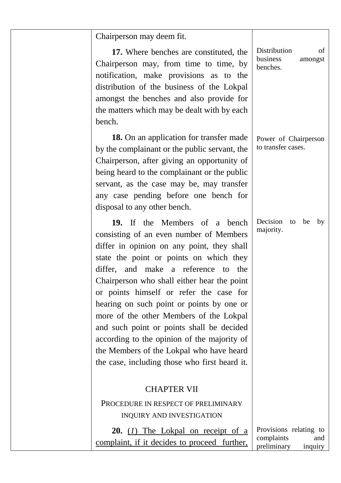| Chairperson may deem fit.                                                                                                                                                                                                                                                                                                                                                                                                                                                                                                                                                                                |                                                                       |
|----------------------------------------------------------------------------------------------------------------------------------------------------------------------------------------------------------------------------------------------------------------------------------------------------------------------------------------------------------------------------------------------------------------------------------------------------------------------------------------------------------------------------------------------------------------------------------------------------------|-----------------------------------------------------------------------|
| 17. Where benches are constituted, the<br>Chairperson may, from time to time, by<br>notification, make provisions as to the<br>distribution of the business of the Lokpal<br>amongst the benches and also provide for<br>the matters which may be dealt with by each<br>bench.                                                                                                                                                                                                                                                                                                                           | Distribution<br>of<br>business<br>amongst<br>benches.                 |
| 18. On an application for transfer made<br>by the complainant or the public servant, the<br>Chairperson, after giving an opportunity of<br>being heard to the complainant or the public<br>servant, as the case may be, may transfer<br>any case pending before one bench for<br>disposal to any other bench.                                                                                                                                                                                                                                                                                            | Power of Chairperson<br>to transfer cases.                            |
| 19. If the Members of<br>hench<br>a<br>consisting of an even number of Members<br>differ in opinion on any point, they shall<br>state the point or points on which they<br>differ, and make a reference to the<br>Chairperson who shall either hear the point<br>or points himself or refer the case for<br>hearing on such point or points by one or<br>more of the other Members of the Lokpal<br>and such point or points shall be decided<br>according to the opinion of the majority of<br>the Members of the Lokpal who have heard<br>the case, including those who first heard it.<br>CHAPTER VII | Decision<br>to<br>be<br>by<br>majority.                               |
| PROCEDURE IN RESPECT OF PRELIMINARY                                                                                                                                                                                                                                                                                                                                                                                                                                                                                                                                                                      |                                                                       |
| INQUIRY AND INVESTIGATION                                                                                                                                                                                                                                                                                                                                                                                                                                                                                                                                                                                |                                                                       |
| <b>20.</b> $(I)$ The Lokpal on receipt of a<br>complaint, if it decides to proceed further,                                                                                                                                                                                                                                                                                                                                                                                                                                                                                                              | Provisions relating to<br>complaints<br>and<br>preliminary<br>inquiry |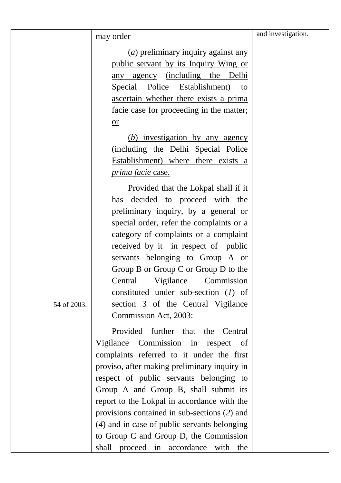may order––

(*a*) preliminary inquiry against any public servant by its Inquiry Wing or any agency (including the Delhi Special Police Establishment) to ascertain whether there exists a prima facie case for proceeding in the matter; or

(*b*) investigation by any agency (including the Delhi Special Police Establishment) where there exists a *prima facie* case.

Provided that the Lokpal shall if it has decided to proceed with the preliminary inquiry, by a general or special order, refer the complaints or a category of complaints or a complaint received by it in respect of public servants belonging to Group A or Group B or Group C or Group D to the Central Vigilance Commission constituted under sub-section (*1*) of section 3 of the Central Vigilance Commission Act, 2003:

Provided further that the Central Vigilance Commission in respect of complaints referred to it under the first proviso, after making preliminary inquiry in respect of public servants belonging to Group A and Group B, shall submit its report to the Lokpal in accordance with the provisions contained in sub-sections (*2*) and (*4*) and in case of public servants belonging to Group C and Group D, the Commission shall proceed in accordance with the

54 of 2003.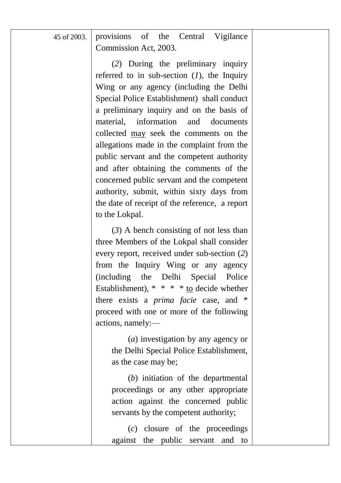| 45 of 2003. provisions of the Central Vigilance |  |  |
|-------------------------------------------------|--|--|
| Commission Act, 2003.                           |  |  |

(*2*) During the preliminary inquiry referred to in sub-section  $(I)$ , the Inquiry Wing or any agency (including the Delhi Special Police Establishment) shall conduct a preliminary inquiry and on the basis of material, information and documents collected may seek the comments on the allegations made in the complaint from the public servant and the competent authority and after obtaining the comments of the concerned public servant and the competent authority, submit, within sixty days from the date of receipt of the reference, a report to the Lokpal.

(*3*) A bench consisting of not less than three Members of the Lokpal shall consider every report, received under sub-section (*2*) from the Inquiry Wing or any agency (including the Delhi Special Police Establishment),  $* * * *$  to decide whether there exists a *prima facie* case, and \* proceed with one or more of the following actions, namely:—

> (*a*) investigation by any agency or the Delhi Special Police Establishment, as the case may be;

> (*b*) initiation of the departmental proceedings or any other appropriate action against the concerned public servants by the competent authority;

> (*c*) closure of the proceedings against the public servant and to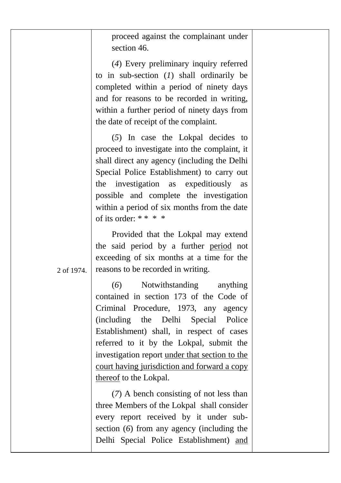proceed against the complainant under section 46.

(*4*) Every preliminary inquiry referred to in sub-section (*1*) shall ordinarily be completed within a period of ninety days and for reasons to be recorded in writing, within a further period of ninety days from the date of receipt of the complaint.

(*5*) In case the Lokpal decides to proceed to investigate into the complaint, it shall direct any agency (including the Delhi Special Police Establishment) to carry out the investigation as expeditiously as possible and complete the investigation within a period of six months from the date of its order: \* \* \* \*

Provided that the Lokpal may extend the said period by a further period not exceeding of six months at a time for the reasons to be recorded in writing.

2 of 1974.

(*6*) Notwithstanding anything contained in section 173 of the Code of Criminal Procedure, 1973, any agency (including the Delhi Special Police Establishment) shall, in respect of cases referred to it by the Lokpal, submit the investigation report under that section to the court having jurisdiction and forward a copy thereof to the Lokpal.

(*7*) A bench consisting of not less than three Members of the Lokpal shall consider every report received by it under subsection (*6*) from any agency (including the Delhi Special Police Establishment) and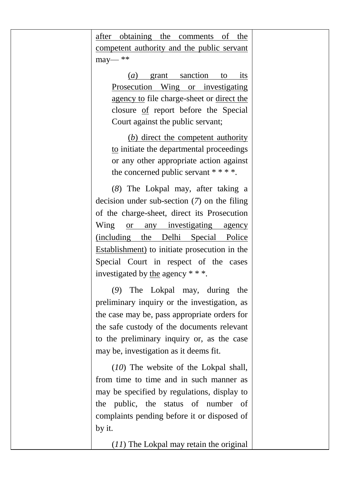after obtaining the comments of the competent authority and the public servant may— \*\*

> (*a*) grant sanction to its Prosecution Wing or investigating agency to file charge-sheet or direct the closure of report before the Special Court against the public servant;

> (*b*) direct the competent authority to initiate the departmental proceedings or any other appropriate action against the concerned public servant \* \* \* \*.

(*8*) The Lokpal may, after taking a decision under sub-section (*7*) on the filing of the charge-sheet, direct its Prosecution Wing or any investigating agency (including the Delhi Special Police Establishment) to initiate prosecution in the Special Court in respect of the cases investigated by the agency \* \* \*.

(*9*) The Lokpal may, during the preliminary inquiry or the investigation, as the case may be, pass appropriate orders for the safe custody of the documents relevant to the preliminary inquiry or, as the case may be, investigation as it deems fit.

(*10*) The website of the Lokpal shall, from time to time and in such manner as may be specified by regulations, display to the public, the status of number of complaints pending before it or disposed of by it.

(*11*) The Lokpal may retain the original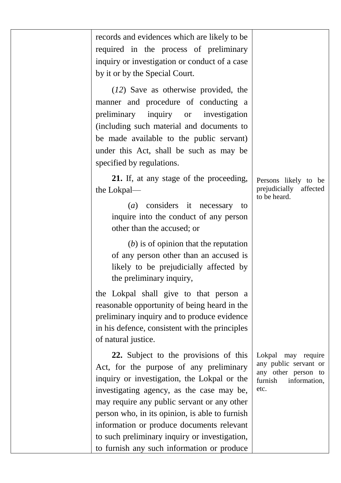| records and evidences which are likely to be<br>required in the process of preliminary<br>inquiry or investigation or conduct of a case<br>by it or by the Special Court.                                                                                                                                                  |                                                                                                       |
|----------------------------------------------------------------------------------------------------------------------------------------------------------------------------------------------------------------------------------------------------------------------------------------------------------------------------|-------------------------------------------------------------------------------------------------------|
| $(12)$ Save as otherwise provided, the<br>manner and procedure of conducting a<br>preliminary<br>inquiry or<br>investigation<br>(including such material and documents to<br>be made available to the public servant)<br>under this Act, shall be such as may be<br>specified by regulations.                              |                                                                                                       |
| 21. If, at any stage of the proceeding,<br>the Lokpal-<br>considers it necessary<br>(a)<br>to<br>inquire into the conduct of any person<br>other than the accused; or                                                                                                                                                      | Persons likely to be<br>prejudicially affected<br>to be heard.                                        |
| $(b)$ is of opinion that the reputation<br>of any person other than an accused is<br>likely to be prejudicially affected by<br>the preliminary inquiry,                                                                                                                                                                    |                                                                                                       |
| the Lokpal shall give to that person a<br>reasonable opportunity of being heard in the<br>preliminary inquiry and to produce evidence<br>in his defence, consistent with the principles<br>of natural justice.                                                                                                             |                                                                                                       |
| 22. Subject to the provisions of this<br>Act, for the purpose of any preliminary<br>inquiry or investigation, the Lokpal or the<br>investigating agency, as the case may be.<br>may require any public servant or any other<br>person who, in its opinion, is able to furnish<br>information or produce documents relevant | Lokpal may require<br>any public servant or<br>any other person to<br>furnish<br>information,<br>etc. |
| to such preliminary inquiry or investigation,<br>to furnish any such information or produce                                                                                                                                                                                                                                |                                                                                                       |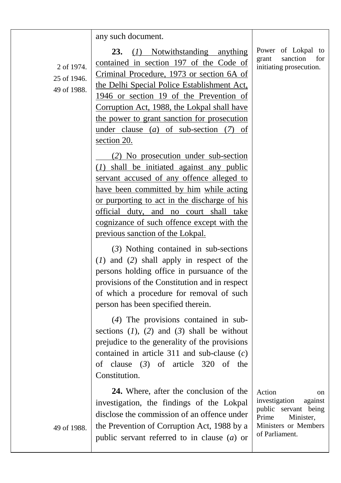#### any such document.

2 of 1974. 25 of 1946. 49 of 1988.

**23.** (*1*) Notwithstanding anything contained in section 197 of the Code of Criminal Procedure, 1973 or section 6A of the Delhi Special Police Establishment Act, 1946 or section 19 of the Prevention of Corruption Act, 1988, the Lokpal shall have the power to grant sanction for prosecution under clause (*a*) of sub-section (*7*) of section 20.

(*2*) No prosecution under sub-section (*1*) shall be initiated against any public servant accused of any offence alleged to have been committed by him while acting or purporting to act in the discharge of his official duty, and no court shall take cognizance of such offence except with the previous sanction of the Lokpal.

(*3*) Nothing contained in sub-sections (*1*) and (*2*) shall apply in respect of the persons holding office in pursuance of the provisions of the Constitution and in respect of which a procedure for removal of such person has been specified therein.

(*4*) The provisions contained in subsections (*1*), (*2*) and (*3*) shall be without prejudice to the generality of the provisions contained in article 311 and sub-clause (*c*) of clause (*3*) of article 320 of the Constitution.

**24.** Where, after the conclusion of the investigation, the findings of the Lokpal disclose the commission of an offence under the Prevention of Corruption Act, 1988 by a public servant referred to in clause (*a*) or

Action on investigation against public servant being Prime Minister, Ministers or Members of Parliament.

49 of 1988.

Power of Lokpal to grant sanction for initiating prosecution.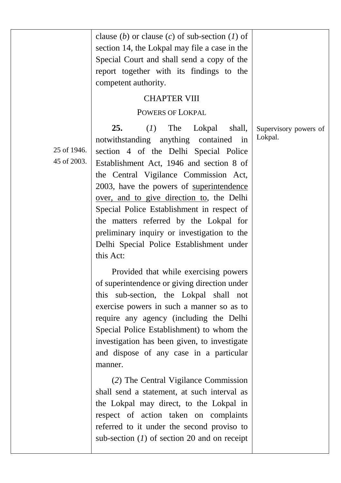|                            | clause (b) or clause (c) of sub-section (1) of<br>section 14, the Lokpal may file a case in the<br>Special Court and shall send a copy of the<br>report together with its findings to the<br>competent authority.<br><b>CHAPTER VIII</b><br><b>POWERS OF LOKPAL</b>                                                                                                                                                                                                                                                                                                                                                                                                                                                                                                                                                                                                                                                                                                                                                                                                                                                                                               |                                  |
|----------------------------|-------------------------------------------------------------------------------------------------------------------------------------------------------------------------------------------------------------------------------------------------------------------------------------------------------------------------------------------------------------------------------------------------------------------------------------------------------------------------------------------------------------------------------------------------------------------------------------------------------------------------------------------------------------------------------------------------------------------------------------------------------------------------------------------------------------------------------------------------------------------------------------------------------------------------------------------------------------------------------------------------------------------------------------------------------------------------------------------------------------------------------------------------------------------|----------------------------------|
| 25 of 1946.<br>45 of 2003. | 25.<br>The<br>(I)<br>Lokpal<br>shall,<br>notwithstanding anything contained<br>in<br>section 4 of the Delhi Special Police<br>Establishment Act, 1946 and section 8 of<br>the Central Vigilance Commission Act,<br>2003, have the powers of superintendence<br>over, and to give direction to, the Delhi<br>Special Police Establishment in respect of<br>the matters referred by the Lokpal for<br>preliminary inquiry or investigation to the<br>Delhi Special Police Establishment under<br>this Act:<br>Provided that while exercising powers<br>of superintendence or giving direction under<br>this sub-section, the Lokpal shall not<br>exercise powers in such a manner so as to<br>require any agency (including the Delhi<br>Special Police Establishment) to whom the<br>investigation has been given, to investigate<br>and dispose of any case in a particular<br>manner.<br>(2) The Central Vigilance Commission<br>shall send a statement, at such interval as<br>the Lokpal may direct, to the Lokpal in<br>respect of action taken on complaints<br>referred to it under the second proviso to<br>sub-section $(I)$ of section 20 and on receipt | Supervisory powers of<br>Lokpal. |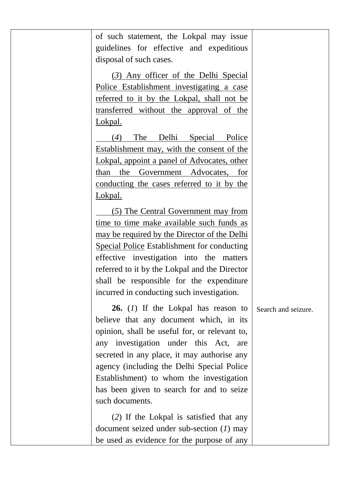| of such statement, the Lokpal may issue<br>guidelines for effective and expeditious<br>disposal of such cases.                                                                       |                     |
|--------------------------------------------------------------------------------------------------------------------------------------------------------------------------------------|---------------------|
| (3) Any officer of the Delhi Special<br>Police Establishment investigating a case<br>referred to it by the Lokpal, shall not be<br>transferred without the approval of the           |                     |
| Lokpal.<br>(4)<br>The Delhi Special Police<br>Establishment may, with the consent of the                                                                                             |                     |
| Lokpal, appoint a panel of Advocates, other<br>than the Government Advocates, for<br>conducting the cases referred to it by the                                                      |                     |
| Lokpal.<br>(5) The Central Government may from                                                                                                                                       |                     |
| time to time make available such funds as<br>may be required by the Director of the Delhi                                                                                            |                     |
| Special Police Establishment for conducting<br>effective investigation into the matters<br>referred to it by the Lokpal and the Director<br>shall be responsible for the expenditure |                     |
| incurred in conducting such investigation.<br>$26. (1)$ If the Lokpal has reason to                                                                                                  | Search and seizure. |
| believe that any document which, in its<br>opinion, shall be useful for, or relevant to,<br>any investigation under this Act,<br>are                                                 |                     |
| secreted in any place, it may authorise any<br>agency (including the Delhi Special Police<br>Establishment) to whom the investigation<br>has been given to search for and to seize   |                     |
| such documents.<br>(2) If the Lokpal is satisfied that any                                                                                                                           |                     |
| document seized under sub-section $(1)$ may<br>be used as evidence for the purpose of any                                                                                            |                     |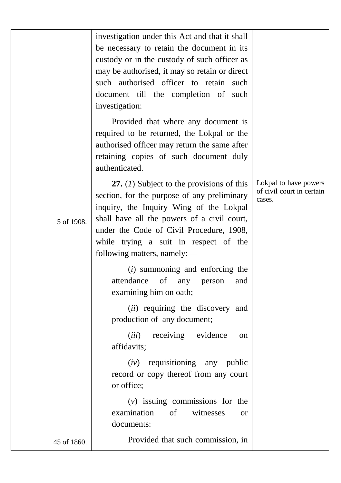|             | investigation under this Act and that it shall<br>be necessary to retain the document in its<br>custody or in the custody of such officer as<br>may be authorised, it may so retain or direct<br>such authorised officer to retain<br>such<br>document till the completion of<br>such<br>investigation:  |                                                              |
|-------------|----------------------------------------------------------------------------------------------------------------------------------------------------------------------------------------------------------------------------------------------------------------------------------------------------------|--------------------------------------------------------------|
|             | Provided that where any document is<br>required to be returned, the Lokpal or the<br>authorised officer may return the same after<br>retaining copies of such document duly<br>authenticated.                                                                                                            |                                                              |
| 5 of 1908.  | 27. $(I)$ Subject to the provisions of this<br>section, for the purpose of any preliminary<br>inquiry, the Inquiry Wing of the Lokpal<br>shall have all the powers of a civil court,<br>under the Code of Civil Procedure, 1908,<br>while trying a suit in respect of the<br>following matters, namely:- | Lokpal to have powers<br>of civil court in certain<br>cases. |
|             | $(i)$ summoning and enforcing the<br>of<br>attendance<br>any<br>person<br>and<br>examining him on oath;                                                                                                                                                                                                  |                                                              |
|             | (ii) requiring the discovery and<br>production of any document;                                                                                                                                                                                                                                          |                                                              |
|             | (iii)<br>receiving<br>evidence<br>on<br>affidavits;                                                                                                                                                                                                                                                      |                                                              |
|             | $(iv)$ requisitioning any public<br>record or copy thereof from any court<br>or office;                                                                                                                                                                                                                  |                                                              |
|             | $(v)$ issuing commissions for the<br>examination<br>of<br>witnesses<br><b>or</b><br>documents:                                                                                                                                                                                                           |                                                              |
| 45 of 1860. | Provided that such commission, in                                                                                                                                                                                                                                                                        |                                                              |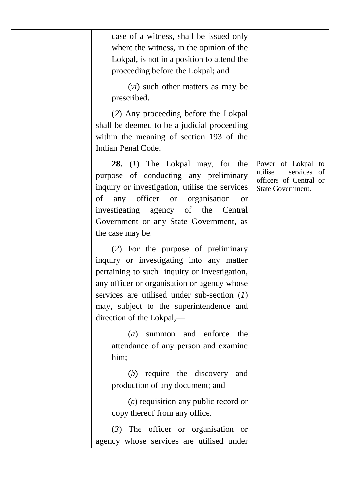| case of a witness, shall be issued only<br>where the witness, in the opinion of the<br>Lokpal, is not in a position to attend the<br>proceeding before the Lokpal; and                                                                                                                                                 |                                                                                                |
|------------------------------------------------------------------------------------------------------------------------------------------------------------------------------------------------------------------------------------------------------------------------------------------------------------------------|------------------------------------------------------------------------------------------------|
| (vi) such other matters as may be<br>prescribed.                                                                                                                                                                                                                                                                       |                                                                                                |
| (2) Any proceeding before the Lokpal<br>shall be deemed to be a judicial proceeding<br>within the meaning of section 193 of the<br>Indian Penal Code.                                                                                                                                                                  |                                                                                                |
| 28.<br>$(I)$ The Lokpal may, for the<br>purpose of conducting any preliminary<br>inquiry or investigation, utilise the services<br>any<br>officer<br>of<br>organisation<br><b>or</b><br><sub>or</sub><br>investigating<br>of<br>agency<br>the<br>Central<br>Government or any State Government, as<br>the case may be. | Power of Lokpal<br>to<br>utilise<br>services of<br>officers of Central or<br>State Government. |
| (2) For the purpose of preliminary<br>inquiry or investigating into any matter<br>pertaining to such inquiry or investigation,<br>any officer or organisation or agency whose<br>services are utilised under sub-section $(I)$<br>may, subject to the superintendence and<br>direction of the Lokpal,-                 |                                                                                                |
| summon and<br>enforce<br>(a)<br>the<br>attendance of any person and examine<br>him:                                                                                                                                                                                                                                    |                                                                                                |
| $(b)$ require the discovery<br>and<br>production of any document; and                                                                                                                                                                                                                                                  |                                                                                                |
| $(c)$ requisition any public record or<br>copy thereof from any office.                                                                                                                                                                                                                                                |                                                                                                |
| $(3)$ The officer or organisation or<br>agency whose services are utilised under                                                                                                                                                                                                                                       |                                                                                                |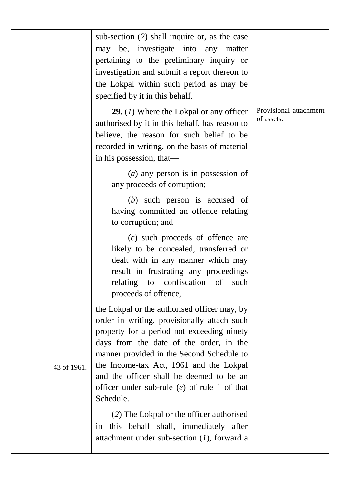|             | sub-section (2) shall inquire or, as the case<br>may be, investigate into<br>any<br>matter<br>pertaining to the preliminary inquiry or<br>investigation and submit a report thereon to<br>the Lokpal within such period as may be<br>specified by it in this behalf.                                                                                                                    |                                      |
|-------------|-----------------------------------------------------------------------------------------------------------------------------------------------------------------------------------------------------------------------------------------------------------------------------------------------------------------------------------------------------------------------------------------|--------------------------------------|
|             | <b>29.</b> (1) Where the Lokpal or any officer<br>authorised by it in this behalf, has reason to<br>believe, the reason for such belief to be<br>recorded in writing, on the basis of material<br>in his possession, that-                                                                                                                                                              | Provisional attachment<br>of assets. |
|             | $(a)$ any person is in possession of<br>any proceeds of corruption;                                                                                                                                                                                                                                                                                                                     |                                      |
|             | $(b)$ such person is accused of<br>having committed an offence relating<br>to corruption; and                                                                                                                                                                                                                                                                                           |                                      |
|             | $(c)$ such proceeds of offence are<br>likely to be concealed, transferred or<br>dealt with in any manner which may<br>result in frustrating any proceedings<br>to confiscation of<br>relating<br>such<br>proceeds of offence,                                                                                                                                                           |                                      |
| 43 of 1961. | the Lokpal or the authorised officer may, by<br>order in writing, provisionally attach such<br>property for a period not exceeding ninety<br>days from the date of the order, in the<br>manner provided in the Second Schedule to<br>the Income-tax Act, 1961 and the Lokpal<br>and the officer shall be deemed to be an<br>officer under sub-rule $(e)$ of rule 1 of that<br>Schedule. |                                      |
|             | (2) The Lokpal or the officer authorised<br>this behalf shall, immediately after<br>in<br>attachment under sub-section $(1)$ , forward a                                                                                                                                                                                                                                                |                                      |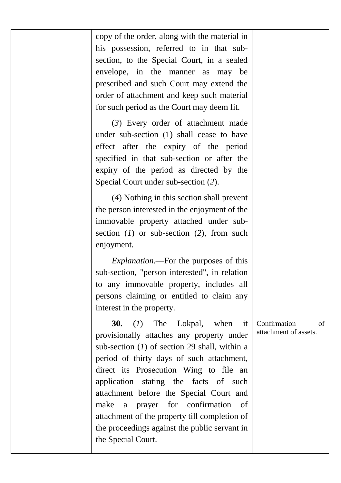| copy of the order, along with the material in<br>his possession, referred to in that sub-<br>section, to the Special Court, in a sealed<br>envelope, in<br>the manner as<br>may be                                                                                                                                                                                                                                                                                                   |                                                                                                              |
|--------------------------------------------------------------------------------------------------------------------------------------------------------------------------------------------------------------------------------------------------------------------------------------------------------------------------------------------------------------------------------------------------------------------------------------------------------------------------------------|--------------------------------------------------------------------------------------------------------------|
| order of attachment and keep such material                                                                                                                                                                                                                                                                                                                                                                                                                                           |                                                                                                              |
| (3) Every order of attachment made<br>under sub-section (1) shall cease to have<br>effect after the expiry of the period<br>specified in that sub-section or after the<br>expiry of the period as directed by the<br>Special Court under sub-section (2).                                                                                                                                                                                                                            |                                                                                                              |
| (4) Nothing in this section shall prevent<br>the person interested in the enjoyment of the<br>immovable property attached under sub-<br>section $(I)$ or sub-section $(2)$ , from such<br>enjoyment.                                                                                                                                                                                                                                                                                 |                                                                                                              |
| <i>Explanation</i> .—For the purposes of this<br>sub-section, "person interested", in relation<br>to any immovable property, includes all<br>persons claiming or entitled to claim any<br>interest in the property.                                                                                                                                                                                                                                                                  |                                                                                                              |
| 30.<br>(I)<br>The<br>Lokpal,<br>when<br>it<br>provisionally attaches any property under<br>sub-section $(I)$ of section 29 shall, within a<br>period of thirty days of such attachment,<br>direct its Prosecution Wing to file<br>an<br>application<br>stating the<br>facts<br>of such<br>attachment before the Special Court and<br>make<br>for confirmation<br>a<br>of<br>prayer<br>attachment of the property till completion of<br>the proceedings against the public servant in | Confirmation<br>of<br>attachment of assets.                                                                  |
|                                                                                                                                                                                                                                                                                                                                                                                                                                                                                      | prescribed and such Court may extend the<br>for such period as the Court may deem fit.<br>the Special Court. |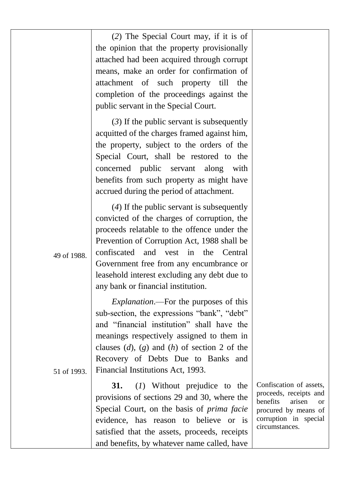|             | (2) The Special Court may, if it is of<br>the opinion that the property provisionally<br>attached had been acquired through corrupt<br>means, make an order for confirmation of<br>attachment of such<br>property<br>till<br>the<br>completion of the proceedings against the<br>public servant in the Special Court.<br>$(3)$ If the public servant is subsequently<br>acquitted of the charges framed against him,<br>the property, subject to the orders of the |                                                                                                                                                             |
|-------------|--------------------------------------------------------------------------------------------------------------------------------------------------------------------------------------------------------------------------------------------------------------------------------------------------------------------------------------------------------------------------------------------------------------------------------------------------------------------|-------------------------------------------------------------------------------------------------------------------------------------------------------------|
|             | Special Court, shall be restored to the<br>concerned public<br>servant<br>along<br>with<br>benefits from such property as might have<br>accrued during the period of attachment.                                                                                                                                                                                                                                                                                   |                                                                                                                                                             |
| 49 of 1988. | $(4)$ If the public servant is subsequently<br>convicted of the charges of corruption, the<br>proceeds relatable to the offence under the<br>Prevention of Corruption Act, 1988 shall be<br>confiscated<br>and<br>vest<br>in<br>the<br>Central<br>Government free from any encumbrance or<br>leasehold interest excluding any debt due to<br>any bank or financial institution.                                                                                    |                                                                                                                                                             |
| 51 of 1993. | <i>Explanation</i> .—For the purposes of this<br>sub-section, the expressions "bank", "debt"<br>and "financial institution" shall have the<br>meanings respectively assigned to them in<br>clauses $(d)$ , $(g)$ and $(h)$ of section 2 of the<br>Recovery of Debts Due to Banks and<br>Financial Institutions Act, 1993.                                                                                                                                          |                                                                                                                                                             |
|             | 31.<br>(1) Without prejudice to the<br>provisions of sections 29 and 30, where the<br>Special Court, on the basis of <i>prima facie</i><br>evidence, has reason to believe or<br>is<br>satisfied that the assets, proceeds, receipts<br>and benefits, by whatever name called, have                                                                                                                                                                                | Confiscation of assets,<br>proceeds, receipts and<br>benefits<br>arisen<br><sub>or</sub><br>procured by means of<br>corruption in special<br>circumstances. |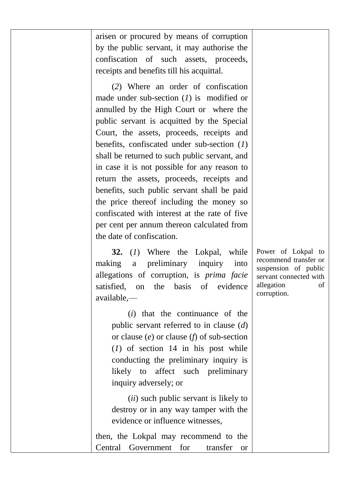arisen or procured by means of corruption by the public servant, it may authorise the confiscation of such assets, proceeds, receipts and benefits till his acquittal.

(*2*) Where an order of confiscation made under sub-section (*1*) is modified or annulled by the High Court or where the public servant is acquitted by the Special Court, the assets, proceeds, receipts and benefits, confiscated under sub-section (*1*) shall be returned to such public servant, and in case it is not possible for any reason to return the assets, proceeds, receipts and benefits, such public servant shall be paid the price thereof including the money so confiscated with interest at the rate of five per cent per annum thereon calculated from the date of confiscation.

**32.** (*1*) Where the Lokpal, while making a preliminary inquiry into allegations of corruption, is *prima facie* satisfied, on the basis of evidence available,—

> (*i*) that the continuance of the public servant referred to in clause (*d*) or clause (*e*) or clause (*f*) of sub-section (*1*) of section 14 in his post while conducting the preliminary inquiry is likely to affect such preliminary inquiry adversely; or

> (*ii*) such public servant is likely to destroy or in any way tamper with the evidence or influence witnesses,

then, the Lokpal may recommend to the Central Government for transfer or

Power of Lokpal to recommend transfer or suspension of public servant connected with allegation of corruption.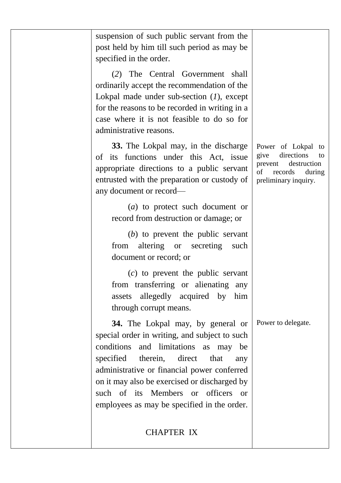| suspension of such public servant from the<br>post held by him till such period as may be<br>specified in the order.                                                                                                                                                                                                                                                      |                                                                                                                             |
|---------------------------------------------------------------------------------------------------------------------------------------------------------------------------------------------------------------------------------------------------------------------------------------------------------------------------------------------------------------------------|-----------------------------------------------------------------------------------------------------------------------------|
| (2) The Central Government shall<br>ordinarily accept the recommendation of the<br>Lokpal made under sub-section $(l)$ , except<br>for the reasons to be recorded in writing in a<br>case where it is not feasible to do so for<br>administrative reasons.                                                                                                                |                                                                                                                             |
| 33. The Lokpal may, in the discharge<br>of its functions under this Act, issue<br>appropriate directions to a public servant<br>entrusted with the preparation or custody of<br>any document or record-                                                                                                                                                                   | Power of Lokpal to<br>directions<br>give<br>to<br>destruction<br>prevent<br>of<br>records<br>during<br>preliminary inquiry. |
| $(a)$ to protect such document or<br>record from destruction or damage; or                                                                                                                                                                                                                                                                                                |                                                                                                                             |
| $(b)$ to prevent the public servant<br>altering or secreting<br>from<br>such<br>document or record; or                                                                                                                                                                                                                                                                    |                                                                                                                             |
| $(c)$ to prevent the public servant<br>from transferring or alienating<br>any<br>allegedly acquired by him<br>assets<br>through corrupt means.                                                                                                                                                                                                                            |                                                                                                                             |
| 34. The Lokpal may, by general or<br>special order in writing, and subject to such<br>conditions<br>and limitations<br>as<br>may be<br>specified<br>therein,<br>direct<br>that<br>any<br>administrative or financial power conferred<br>on it may also be exercised or discharged by<br>such of its Members or officers or<br>employees as may be specified in the order. | Power to delegate.                                                                                                          |
| <b>CHAPTER IX</b>                                                                                                                                                                                                                                                                                                                                                         |                                                                                                                             |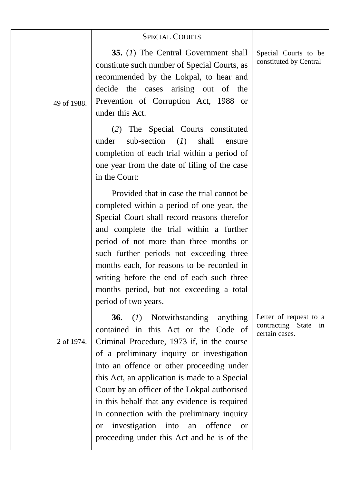|             | <b>SPECIAL COURTS</b>                                                                                                                                                                                                                                                                                                                                                                                                                                                                                                                           |                                                                  |
|-------------|-------------------------------------------------------------------------------------------------------------------------------------------------------------------------------------------------------------------------------------------------------------------------------------------------------------------------------------------------------------------------------------------------------------------------------------------------------------------------------------------------------------------------------------------------|------------------------------------------------------------------|
| 49 of 1988. | 35. (1) The Central Government shall<br>constitute such number of Special Courts, as<br>recommended by the Lokpal, to hear and<br>decide the cases arising out of the<br>Prevention of Corruption Act, 1988 or<br>under this Act.                                                                                                                                                                                                                                                                                                               | Special Courts to be<br>constituted by Central                   |
|             | (2) The Special Courts constituted<br>sub-section<br>(I)<br>under<br>shall<br>ensure<br>completion of each trial within a period of<br>one year from the date of filing of the case<br>in the Court:                                                                                                                                                                                                                                                                                                                                            |                                                                  |
|             | Provided that in case the trial cannot be<br>completed within a period of one year, the<br>Special Court shall record reasons therefor<br>and complete the trial within a further<br>period of not more than three months or<br>such further periods not exceeding three<br>months each, for reasons to be recorded in<br>writing before the end of each such three<br>months period, but not exceeding a total<br>period of two years.                                                                                                         |                                                                  |
| 2 of 1974.  | <b>36.</b><br>(1) Notwithstanding<br>anything<br>contained in this Act or the Code of<br>Criminal Procedure, 1973 if, in the course<br>of a preliminary inquiry or investigation<br>into an offence or other proceeding under<br>this Act, an application is made to a Special<br>Court by an officer of the Lokpal authorised<br>in this behalf that any evidence is required<br>in connection with the preliminary inquiry<br>investigation into<br>offence<br>an<br><sub>or</sub><br><b>or</b><br>proceeding under this Act and he is of the | Letter of request to a<br>contracting State in<br>certain cases. |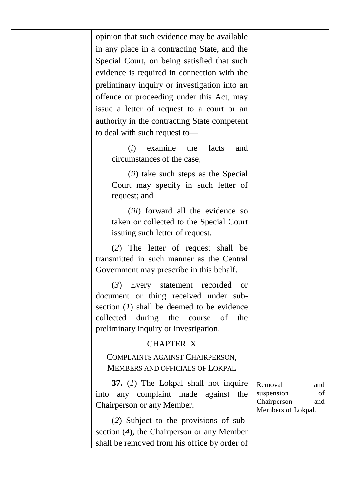opinion that such evidence may be available in any place in a contracting State, and the Special Court, on being satisfied that such evidence is required in connection with the preliminary inquiry or investigation into an offence or proceeding under this Act, may issue a letter of request to a court or an authority in the contracting State competent to deal with such request to—

> (*i*) examine the facts and circumstances of the case;

> (*ii*) take such steps as the Special Court may specify in such letter of request; and

> (*iii*) forward all the evidence so taken or collected to the Special Court issuing such letter of request.

(*2*) The letter of request shall be transmitted in such manner as the Central Government may prescribe in this behalf.

(*3*) Every statement recorded or document or thing received under subsection (*1*) shall be deemed to be evidence collected during the course of the preliminary inquiry or investigation.

### CHAPTER X

COMPLAINTS AGAINST CHAIRPERSON, MEMBERS AND OFFICIALS OF LOKPAL

**37.** (*1*) The Lokpal shall not inquire into any complaint made against the Chairperson or any Member.

Removal and suspension of Chairperson and Members of Lokpal.

(*2*) Subject to the provisions of subsection (*4*), the Chairperson or any Member shall be removed from his office by order of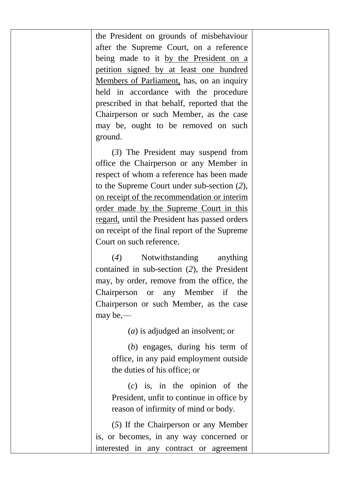the President on grounds of misbehaviour after the Supreme Court, on a reference being made to it by the President on a petition signed by at least one hundred Members of Parliament, has, on an inquiry held in accordance with the procedure prescribed in that behalf, reported that the Chairperson or such Member, as the case may be, ought to be removed on such ground.

(*3*) The President may suspend from office the Chairperson or any Member in respect of whom a reference has been made to the Supreme Court under sub-section (*2*), on receipt of the recommendation or interim order made by the Supreme Court in this regard, until the President has passed orders on receipt of the final report of the Supreme Court on such reference.

(*4*) Notwithstanding anything contained in sub-section (*2*), the President may, by order, remove from the office, the Chairperson or any Member if the Chairperson or such Member, as the case may be,—

(*a*) is adjudged an insolvent; or

(*b*) engages, during his term of office, in any paid employment outside the duties of his office; or

(*c*) is, in the opinion of the President, unfit to continue in office by reason of infirmity of mind or body.

(*5*) If the Chairperson or any Member is, or becomes, in any way concerned or interested in any contract or agreement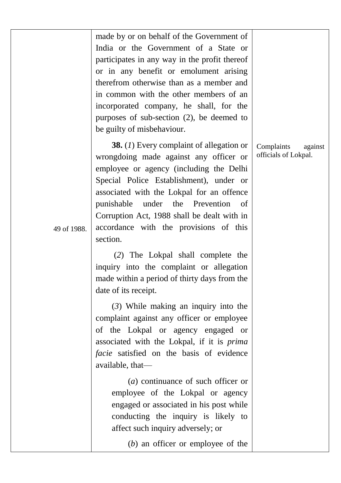|             | made by or on behalf of the Government of<br>India or the Government of a State or<br>participates in any way in the profit thereof<br>or in any benefit or emolument arising<br>therefrom otherwise than as a member and<br>in common with the other members of an<br>incorporated company, he shall, for the<br>purposes of sub-section $(2)$ , be deemed to<br>be guilty of misbehaviour. |                                               |
|-------------|----------------------------------------------------------------------------------------------------------------------------------------------------------------------------------------------------------------------------------------------------------------------------------------------------------------------------------------------------------------------------------------------|-----------------------------------------------|
| 49 of 1988. | 38. $(I)$ Every complaint of allegation or<br>wrongdoing made against any officer or<br>employee or agency (including the Delhi<br>Special Police Establishment), under or<br>associated with the Lokpal for an offence<br>the<br>punishable<br>under<br>Prevention<br>οf<br>Corruption Act, 1988 shall be dealt with in<br>accordance with the provisions of this<br>section.               | Complaints<br>against<br>officials of Lokpal. |
|             | (2) The Lokpal shall complete the<br>inquiry into the complaint or allegation<br>made within a period of thirty days from the<br>date of its receipt.                                                                                                                                                                                                                                        |                                               |
|             | $(3)$ While making an inquiry into the<br>complaint against any officer or employee<br>of the Lokpal or agency engaged or<br>associated with the Lokpal, if it is prima<br>facie satisfied on the basis of evidence<br>available, that-                                                                                                                                                      |                                               |
|             | $(a)$ continuance of such officer or<br>employee of the Lokpal or agency<br>engaged or associated in his post while<br>conducting the inquiry is likely to<br>affect such inquiry adversely; or                                                                                                                                                                                              |                                               |
|             | $(b)$ an officer or employee of the                                                                                                                                                                                                                                                                                                                                                          |                                               |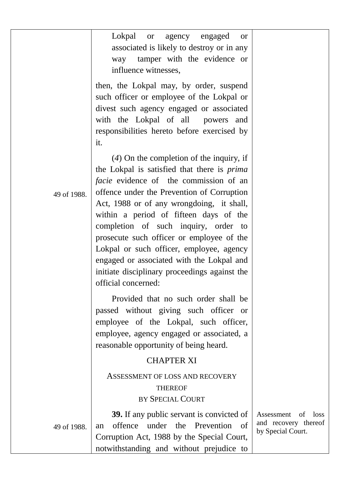|             | Lokpal or<br>agency engaged<br><b>or</b><br>associated is likely to destroy or in any<br>way tamper with the evidence or<br>influence witnesses,                                                                                                                                                                                                                                                                                                                                                                                      |                                                                    |
|-------------|---------------------------------------------------------------------------------------------------------------------------------------------------------------------------------------------------------------------------------------------------------------------------------------------------------------------------------------------------------------------------------------------------------------------------------------------------------------------------------------------------------------------------------------|--------------------------------------------------------------------|
|             | then, the Lokpal may, by order, suspend<br>such officer or employee of the Lokpal or<br>divest such agency engaged or associated<br>with the Lokpal of all<br>powers and<br>responsibilities hereto before exercised by<br>it.                                                                                                                                                                                                                                                                                                        |                                                                    |
| 49 of 1988. | $(4)$ On the completion of the inquiry, if<br>the Lokpal is satisfied that there is <i>prima</i><br>facie evidence of the commission of an<br>offence under the Prevention of Corruption<br>Act, 1988 or of any wrongdoing, it shall,<br>within a period of fifteen days of the<br>completion of such inquiry, order to<br>prosecute such officer or employee of the<br>Lokpal or such officer, employee, agency<br>engaged or associated with the Lokpal and<br>initiate disciplinary proceedings against the<br>official concerned: |                                                                    |
|             | Provided that no such order shall be<br>passed without giving such officer or<br>employee of the Lokpal, such officer,<br>employee, agency engaged or associated, a<br>reasonable opportunity of being heard.                                                                                                                                                                                                                                                                                                                         |                                                                    |
|             | <b>CHAPTER XI</b><br>ASSESSMENT OF LOSS AND RECOVERY<br><b>THEREOF</b><br>BY SPECIAL COURT                                                                                                                                                                                                                                                                                                                                                                                                                                            |                                                                    |
| 49 of 1988. | 39. If any public servant is convicted of<br>offence<br>under the Prevention<br>- of<br>an<br>Corruption Act, 1988 by the Special Court,<br>notwithstanding and without prejudice to                                                                                                                                                                                                                                                                                                                                                  | Assessment of<br>loss<br>and recovery thereof<br>by Special Court. |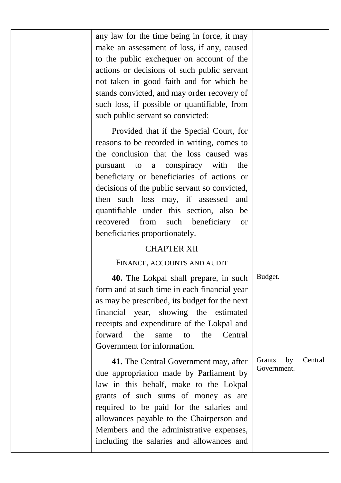any law for the time being in force, it may make an assessment of loss, if any, caused to the public exchequer on account of the actions or decisions of such public servant not taken in good faith and for which he stands convicted, and may order recovery of such loss, if possible or quantifiable, from such public servant so convicted:

Provided that if the Special Court, for reasons to be recorded in writing, comes to the conclusion that the loss caused was pursuant to a conspiracy with the beneficiary or beneficiaries of actions or decisions of the public servant so convicted, then such loss may, if assessed and quantifiable under this section, also be recovered from such beneficiary or beneficiaries proportionately.

#### CHAPTER XII

#### FINANCE, ACCOUNTS AND AUDIT

**40.** The Lokpal shall prepare, in such form and at such time in each financial year as may be prescribed, its budget for the next financial year, showing the estimated receipts and expenditure of the Lokpal and forward the same to the Central Government for information.

**41.** The Central Government may, after due appropriation made by Parliament by law in this behalf, make to the Lokpal grants of such sums of money as are required to be paid for the salaries and allowances payable to the Chairperson and Members and the administrative expenses, including the salaries and allowances and

Budget.

Grants by Central Government.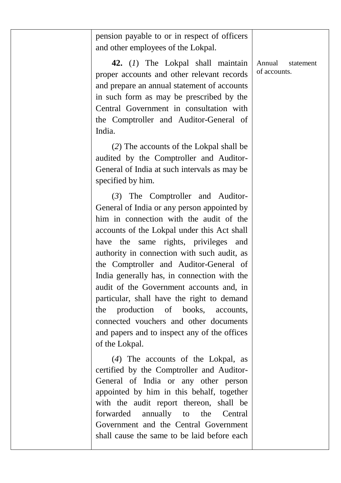| pension payable to or in respect of officers |
|----------------------------------------------|
| and other employees of the Lokpal.           |

**42.** (*1*) The Lokpal shall maintain proper accounts and other relevant records and prepare an annual statement of accounts in such form as may be prescribed by the Central Government in consultation with the Comptroller and Auditor-General of India.

(*2*) The accounts of the Lokpal shall be audited by the Comptroller and Auditor-General of India at such intervals as may be specified by him.

(*3*) The Comptroller and Auditor-General of India or any person appointed by him in connection with the audit of the accounts of the Lokpal under this Act shall have the same rights, privileges and authority in connection with such audit, as the Comptroller and Auditor-General of India generally has, in connection with the audit of the Government accounts and, in particular, shall have the right to demand the production of books, accounts, connected vouchers and other documents and papers and to inspect any of the offices of the Lokpal.

(*4*) The accounts of the Lokpal, as certified by the Comptroller and Auditor-General of India or any other person appointed by him in this behalf, together with the audit report thereon, shall be forwarded annually to the Central Government and the Central Government shall cause the same to be laid before each

Annual statement of accounts.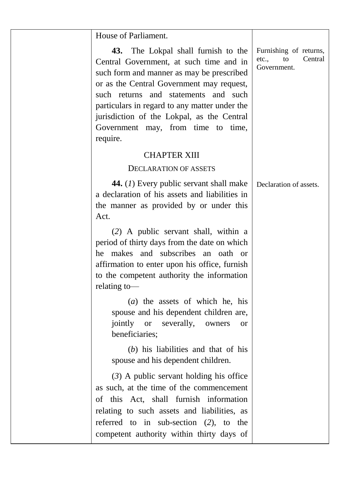| House of Parliament.                                                                                                                                                                                                                                                                                                                                                       |                                                                 |
|----------------------------------------------------------------------------------------------------------------------------------------------------------------------------------------------------------------------------------------------------------------------------------------------------------------------------------------------------------------------------|-----------------------------------------------------------------|
| 43.<br>The Lokpal shall furnish to the<br>Central Government, at such time and in<br>such form and manner as may be prescribed<br>or as the Central Government may request,<br>such returns<br>and such<br>and statements<br>particulars in regard to any matter under the<br>jurisdiction of the Lokpal, as the Central<br>Government may, from time to time,<br>require. | Furnishing of returns,<br>Central<br>etc.,<br>to<br>Government. |
| <b>CHAPTER XIII</b>                                                                                                                                                                                                                                                                                                                                                        |                                                                 |
| DECLARATION OF ASSETS                                                                                                                                                                                                                                                                                                                                                      |                                                                 |
| 44. (1) Every public servant shall make<br>a declaration of his assets and liabilities in<br>the manner as provided by or under this<br>Act.                                                                                                                                                                                                                               | Declaration of assets.                                          |
| (2) A public servant shall, within a<br>period of thirty days from the date on which<br>he makes and subscribes<br>an<br>oath<br><sub>or</sub><br>affirmation to enter upon his office, furnish<br>to the competent authority the information<br>relating to-                                                                                                              |                                                                 |
| $(a)$ the assets of which he, his<br>spouse and his dependent children are,<br>jointly or severally, owners<br><sub>or</sub><br>beneficiaries;                                                                                                                                                                                                                             |                                                                 |
| $(b)$ his liabilities and that of his<br>spouse and his dependent children.                                                                                                                                                                                                                                                                                                |                                                                 |
| $(3)$ A public servant holding his office<br>as such, at the time of the commencement<br>of this Act, shall furnish information<br>relating to such assets and liabilities, as<br>referred to in sub-section $(2)$ , to the<br>competent authority within thirty days of                                                                                                   |                                                                 |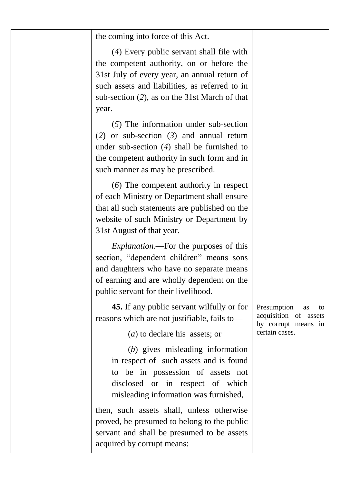| the coming into force of this Act.                                                                                                                                                                                                                |                                                                                           |
|---------------------------------------------------------------------------------------------------------------------------------------------------------------------------------------------------------------------------------------------------|-------------------------------------------------------------------------------------------|
| (4) Every public servant shall file with<br>the competent authority, on or before the<br>31st July of every year, an annual return of<br>such assets and liabilities, as referred to in<br>sub-section (2), as on the 31st March of that<br>year. |                                                                                           |
| $(5)$ The information under sub-section<br>(2) or sub-section $(3)$ and annual return<br>under sub-section $(4)$ shall be furnished to<br>the competent authority in such form and in<br>such manner as may be prescribed.                        |                                                                                           |
| (6) The competent authority in respect<br>of each Ministry or Department shall ensure<br>that all such statements are published on the<br>website of such Ministry or Department by<br>31st August of that year.                                  |                                                                                           |
| <i>Explanation</i> .—For the purposes of this<br>section, "dependent children" means sons<br>and daughters who have no separate means<br>of earning and are wholly dependent on the<br>public servant for their livelihood.                       |                                                                                           |
| <b>45.</b> If any public servant wilfully or for<br>reasons which are not justifiable, fails to-<br>$(a)$ to declare his assets; or                                                                                                               | Presumption<br>as<br>to<br>acquisition of assets<br>by corrupt means in<br>certain cases. |
| (b) gives misleading information<br>in respect of such assets and is found<br>to be in possession of assets not<br>disclosed or in respect of which<br>misleading information was furnished,                                                      |                                                                                           |
| then, such assets shall, unless otherwise<br>proved, be presumed to belong to the public<br>servant and shall be presumed to be assets<br>acquired by corrupt means:                                                                              |                                                                                           |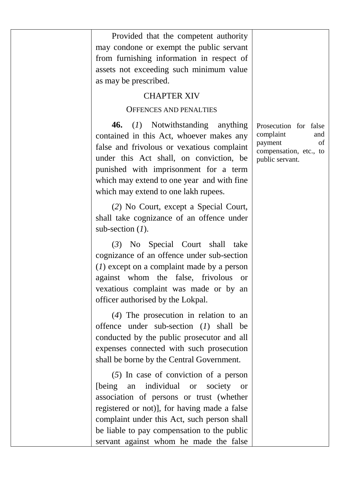| Provided that the competent authority<br>may condone or exempt the public servant<br>from furnishing information in respect of<br>assets not exceeding such minimum value<br>as may be prescribed.                                                                                                                                                  |                                                                                                         |
|-----------------------------------------------------------------------------------------------------------------------------------------------------------------------------------------------------------------------------------------------------------------------------------------------------------------------------------------------------|---------------------------------------------------------------------------------------------------------|
| <b>CHAPTER XIV</b>                                                                                                                                                                                                                                                                                                                                  |                                                                                                         |
| <b>OFFENCES AND PENALTIES</b>                                                                                                                                                                                                                                                                                                                       |                                                                                                         |
| (1) Notwithstanding<br>46.<br>anything<br>contained in this Act, whoever makes any<br>false and frivolous or vexatious complaint<br>under this Act shall, on conviction, be<br>punished with imprisonment for a term<br>which may extend to one year and with fine<br>which may extend to one lakh rupees.                                          | Prosecution for false<br>complaint<br>and<br>payment<br>οf<br>compensation, etc., to<br>public servant. |
| (2) No Court, except a Special Court,<br>shall take cognizance of an offence under<br>sub-section $(I)$ .                                                                                                                                                                                                                                           |                                                                                                         |
| (3)<br>No Special Court<br>shall<br>take<br>cognizance of an offence under sub-section<br>$(1)$ except on a complaint made by a person<br>the<br>false,<br>against whom<br>frivolous<br>or<br>vexatious complaint was made or by an<br>officer authorised by the Lokpal.                                                                            |                                                                                                         |
| $(4)$ The prosecution in relation to an<br>offence under sub-section $(I)$ shall<br>be<br>conducted by the public prosecutor and all<br>expenses connected with such prosecution<br>shall be borne by the Central Government.                                                                                                                       |                                                                                                         |
| $(5)$ In case of conviction of a person<br>individual<br>[being]<br>an<br><b>or</b><br>society<br><sub>or</sub><br>association of persons or trust (whether<br>registered or not)], for having made a false<br>complaint under this Act, such person shall<br>be liable to pay compensation to the public<br>servant against whom he made the false |                                                                                                         |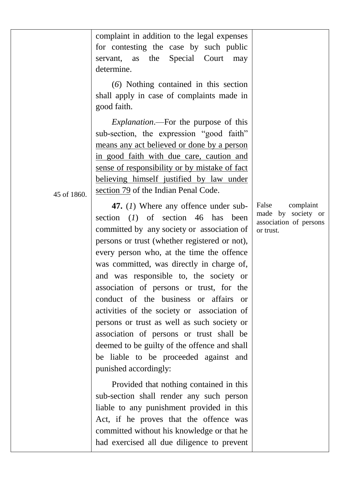complaint in addition to the legal expenses for contesting the case by such public servant, as the Special Court may determine.

(*6*) Nothing contained in this section shall apply in case of complaints made in good faith.

*Explanation*.—For the purpose of this sub-section, the expression "good faith" means any act believed or done by a person in good faith with due care, caution and sense of responsibility or by mistake of fact believing himself justified by law under section 79 of the Indian Penal Code.

45 of 1860.

**47.** (*1*) Where any offence under subsection (*1*) of section 46 has been committed by any society or association of persons or trust (whether registered or not), every person who, at the time the offence was committed, was directly in charge of, and was responsible to, the society or association of persons or trust, for the conduct of the business or affairs or activities of the society or association of persons or trust as well as such society or association of persons or trust shall be deemed to be guilty of the offence and shall be liable to be proceeded against and punished accordingly:

Provided that nothing contained in this sub-section shall render any such person liable to any punishment provided in this Act, if he proves that the offence was committed without his knowledge or that he had exercised all due diligence to prevent False complaint made by society or association of persons or trust.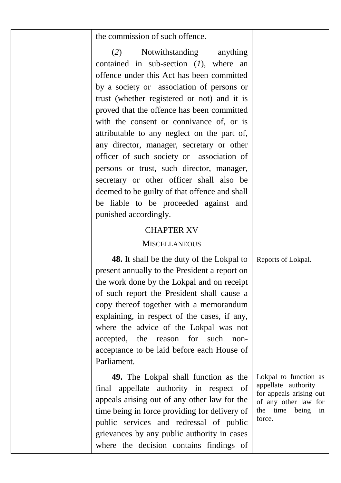| the commission of such offence. |  |  |  |  |
|---------------------------------|--|--|--|--|
|---------------------------------|--|--|--|--|

(*2*) Notwithstanding anything contained in sub-section (*1*), where an offence under this Act has been committed by a society or association of persons or trust (whether registered or not) and it is proved that the offence has been committed with the consent or connivance of, or is attributable to any neglect on the part of, any director, manager, secretary or other officer of such society or association of persons or trust, such director, manager, secretary or other officer shall also be deemed to be guilty of that offence and shall be liable to be proceeded against and punished accordingly.

#### CHAPTER XV

#### MISCELL ANEOUS

**48.** It shall be the duty of the Lokpal to present annually to the President a report on the work done by the Lokpal and on receipt of such report the President shall cause a copy thereof together with a memorandum explaining, in respect of the cases, if any, where the advice of the Lokpal was not accepted, the reason for such nonacceptance to be laid before each House of Parliament.

**49.** The Lokpal shall function as the final appellate authority in respect of appeals arising out of any other law for the time being in force providing for delivery of public services and redressal of public grievances by any public authority in cases where the decision contains findings of Lokpal to function as appellate authority for appeals arising out of any other law for the time being in force.

Reports of Lokpal.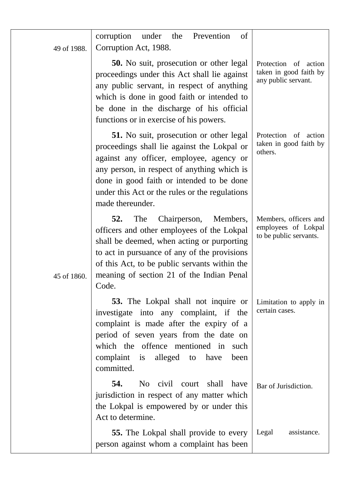| 49 of 1988. | the<br>corruption<br>under<br>Prevention<br>of<br>Corruption Act, 1988.                                                                                                                                                                                                                                     |                                                                        |
|-------------|-------------------------------------------------------------------------------------------------------------------------------------------------------------------------------------------------------------------------------------------------------------------------------------------------------------|------------------------------------------------------------------------|
|             | <b>50.</b> No suit, prosecution or other legal<br>proceedings under this Act shall lie against<br>any public servant, in respect of anything<br>which is done in good faith or intended to<br>be done in the discharge of his official<br>functions or in exercise of his powers.                           | Protection of action<br>taken in good faith by<br>any public servant.  |
|             | <b>51.</b> No suit, prosecution or other legal<br>proceedings shall lie against the Lokpal or<br>against any officer, employee, agency or<br>any person, in respect of anything which is<br>done in good faith or intended to be done<br>under this Act or the rules or the regulations<br>made thereunder. | Protection of action<br>taken in good faith by<br>others.              |
| 45 of 1860. | 52.<br>The<br>Chairperson,<br>Members,<br>officers and other employees of the Lokpal<br>shall be deemed, when acting or purporting<br>to act in pursuance of any of the provisions<br>of this Act, to be public servants within the<br>meaning of section 21 of the Indian Penal<br>Code.                   | Members, officers and<br>employees of Lokpal<br>to be public servants. |
|             | 53. The Lokpal shall not inquire or<br>investigate into any complaint, if the<br>complaint is made after the expiry of a<br>period of seven years from the date on<br>which the offence mentioned in<br>such<br>complaint<br>alleged to have<br>is<br>been<br>committed.                                    | Limitation to apply in<br>certain cases.                               |
|             | 54.<br>No civil<br>shall<br>court<br>have<br>jurisdiction in respect of any matter which<br>the Lokpal is empowered by or under this<br>Act to determine.                                                                                                                                                   | Bar of Jurisdiction.                                                   |
|             | 55. The Lokpal shall provide to every<br>person against whom a complaint has been                                                                                                                                                                                                                           | Legal<br>assistance.                                                   |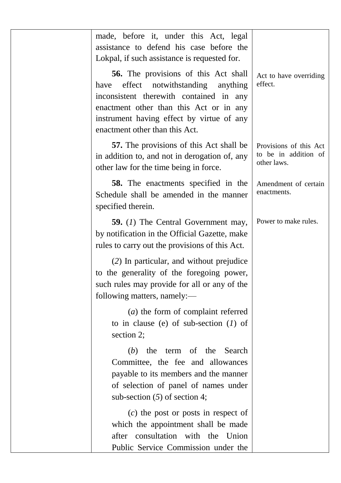| made, before it, under this Act, legal<br>assistance to defend his case before the<br>Lokpal, if such assistance is requested for.                                                                                                                                |                                                               |
|-------------------------------------------------------------------------------------------------------------------------------------------------------------------------------------------------------------------------------------------------------------------|---------------------------------------------------------------|
| <b>56.</b> The provisions of this Act shall<br>effect<br>notwithstanding<br>have<br>anything<br>inconsistent therewith contained in any<br>enactment other than this Act or in any<br>instrument having effect by virtue of any<br>enactment other than this Act. | Act to have overriding<br>effect.                             |
| <b>57.</b> The provisions of this Act shall be<br>in addition to, and not in derogation of, any<br>other law for the time being in force.                                                                                                                         | Provisions of this Act<br>to be in addition of<br>other laws. |
| <b>58.</b> The enactments specified in the<br>Schedule shall be amended in the manner<br>specified therein.                                                                                                                                                       | Amendment of certain<br>enactments.                           |
| <b>59.</b> (1) The Central Government may,<br>by notification in the Official Gazette, make<br>rules to carry out the provisions of this Act.                                                                                                                     | Power to make rules.                                          |
| (2) In particular, and without prejudice<br>to the generality of the foregoing power,<br>such rules may provide for all or any of the<br>following matters, namely:-                                                                                              |                                                               |
| $(a)$ the form of complaint referred<br>to in clause (e) of sub-section $(1)$ of<br>section 2;                                                                                                                                                                    |                                                               |
| (b) the term of the Search<br>Committee, the fee and allowances<br>payable to its members and the manner<br>of selection of panel of names under<br>sub-section $(5)$ of section 4;                                                                               |                                                               |
| $(c)$ the post or posts in respect of<br>which the appointment shall be made<br>after consultation with the Union<br>Public Service Commission under the                                                                                                          |                                                               |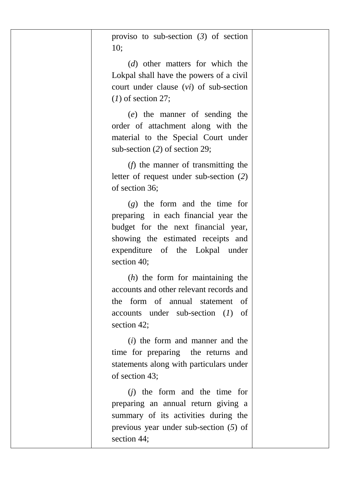| proviso to sub-section $(3)$ of section<br>10;                                                                                                                                                         |
|--------------------------------------------------------------------------------------------------------------------------------------------------------------------------------------------------------|
| (d) other matters for which the<br>Lokpal shall have the powers of a civil<br>court under clause $(vi)$ of sub-section<br>$(1)$ of section 27;                                                         |
| (e) the manner of sending the<br>order of attachment along with the<br>material to the Special Court under<br>sub-section $(2)$ of section 29;                                                         |
| $(f)$ the manner of transmitting the<br>letter of request under sub-section (2)<br>of section 36;                                                                                                      |
| $(g)$ the form and the time for<br>preparing in each financial year the<br>budget for the next financial year,<br>showing the estimated receipts and<br>expenditure of the Lokpal under<br>section 40; |
| $(h)$ the form for maintaining the<br>accounts and other relevant records and<br>the form of annual statement<br>оf<br>$accounts$ under sub-section $(I)$ of<br>section 42;                            |
| ( <i>i</i> ) the form and manner and the<br>time for preparing the returns and<br>statements along with particulars under<br>of section 43;                                                            |
| $(i)$ the form and the time for<br>preparing an annual return giving a<br>summary of its activities during the<br>previous year under sub-section $(5)$ of<br>section 44;                              |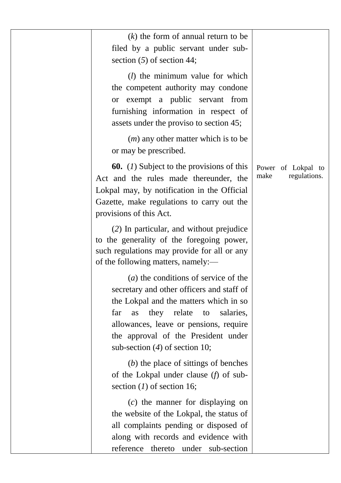|                                            | $(k)$ the form of annual return to be<br>filed by a public servant under sub-<br>section $(5)$ of section 44;                                                                                                                                                                                     |
|--------------------------------------------|---------------------------------------------------------------------------------------------------------------------------------------------------------------------------------------------------------------------------------------------------------------------------------------------------|
|                                            | $(l)$ the minimum value for which<br>the competent authority may condone<br>or exempt a public servant from<br>furnishing information in respect of<br>assets under the proviso to section 45;                                                                                                    |
|                                            | $(m)$ any other matter which is to be<br>or may be prescribed.                                                                                                                                                                                                                                    |
| Power of Lokpal to<br>make<br>regulations. | <b>60.</b> (1) Subject to the provisions of this<br>Act and the rules made thereunder, the<br>Lokpal may, by notification in the Official<br>Gazette, make regulations to carry out the<br>provisions of this Act.                                                                                |
|                                            | (2) In particular, and without prejudice<br>to the generality of the foregoing power,<br>such regulations may provide for all or any<br>of the following matters, namely:-                                                                                                                        |
|                                            | $(a)$ the conditions of service of the<br>secretary and other officers and staff of<br>the Lokpal and the matters which in so<br>they relate<br>far<br>as<br>to<br>salaries,<br>allowances, leave or pensions, require<br>the approval of the President under<br>sub-section $(4)$ of section 10; |
|                                            | $(b)$ the place of sittings of benches<br>of the Lokpal under clause $(f)$ of sub-<br>section $(1)$ of section 16;                                                                                                                                                                                |
|                                            | $(c)$ the manner for displaying on<br>the website of the Lokpal, the status of<br>all complaints pending or disposed of<br>along with records and evidence with<br>reference thereto under sub-section                                                                                            |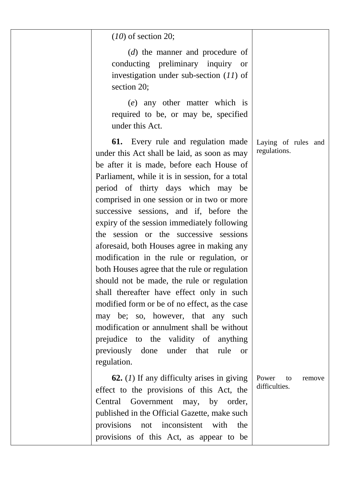| $(10)$ of section 20;                                                                                                                                                                                                                                                                                                                                                                                                                                                                                                                                                                                                                                                                                                                                                                                                                                                                                        |                                        |
|--------------------------------------------------------------------------------------------------------------------------------------------------------------------------------------------------------------------------------------------------------------------------------------------------------------------------------------------------------------------------------------------------------------------------------------------------------------------------------------------------------------------------------------------------------------------------------------------------------------------------------------------------------------------------------------------------------------------------------------------------------------------------------------------------------------------------------------------------------------------------------------------------------------|----------------------------------------|
| $(d)$ the manner and procedure of<br>conducting preliminary inquiry or<br>investigation under sub-section $(11)$ of<br>section 20;                                                                                                                                                                                                                                                                                                                                                                                                                                                                                                                                                                                                                                                                                                                                                                           |                                        |
| (e) any other matter which is<br>required to be, or may be, specified<br>under this Act.                                                                                                                                                                                                                                                                                                                                                                                                                                                                                                                                                                                                                                                                                                                                                                                                                     |                                        |
| Every rule and regulation made<br>61.<br>under this Act shall be laid, as soon as may<br>be after it is made, before each House of<br>Parliament, while it is in session, for a total<br>period of thirty days which may be<br>comprised in one session or in two or more<br>successive sessions, and if, before the<br>expiry of the session immediately following<br>the session or the successive sessions<br>aforesaid, both Houses agree in making any<br>modification in the rule or regulation, or<br>both Houses agree that the rule or regulation<br>should not be made, the rule or regulation<br>shall thereafter have effect only in such<br>modified form or be of no effect, as the case<br>may be; so, however, that any such<br>modification or annulment shall be without<br>prejudice to<br>the validity of anything<br>previously done under that<br>rule<br><sub>or</sub><br>regulation. | Laying of rules and<br>regulations.    |
| <b>62.</b> (1) If any difficulty arises in giving<br>effect to the provisions of this Act, the<br>Government<br>Central<br>may,<br>by order,<br>published in the Official Gazette, make such<br>inconsistent<br>with<br>provisions<br>the<br>not<br>provisions of this Act, as appear to be                                                                                                                                                                                                                                                                                                                                                                                                                                                                                                                                                                                                                  | Power<br>to<br>remove<br>difficulties. |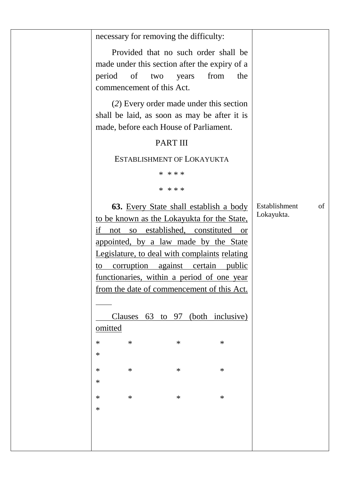| necessary for removing the difficulty:                                                                                                                            |                                   |
|-------------------------------------------------------------------------------------------------------------------------------------------------------------------|-----------------------------------|
| Provided that no such order shall be<br>made under this section after the expiry of a<br>of<br>from<br>period<br>the<br>two<br>years<br>commencement of this Act. |                                   |
| (2) Every order made under this section                                                                                                                           |                                   |
| shall be laid, as soon as may be after it is<br>made, before each House of Parliament.                                                                            |                                   |
| PART III                                                                                                                                                          |                                   |
| ESTABLISHMENT OF LOKAYUKTA                                                                                                                                        |                                   |
| * * * *                                                                                                                                                           |                                   |
| * * * *                                                                                                                                                           |                                   |
| 63. Every State shall establish a body                                                                                                                            | Establishment<br>of<br>Lokayukta. |
| to be known as the Lokayukta for the State,                                                                                                                       |                                   |
| if not so established, constituted or                                                                                                                             |                                   |
| appointed, by a law made by the State                                                                                                                             |                                   |
| Legislature, to deal with complaints relating                                                                                                                     |                                   |
| to corruption against certain public                                                                                                                              |                                   |
| functionaries, within a period of one year                                                                                                                        |                                   |
| from the date of commencement of this Act.                                                                                                                        |                                   |
|                                                                                                                                                                   |                                   |
| Clauses 63 to 97 (both inclusive)                                                                                                                                 |                                   |
| omitted                                                                                                                                                           |                                   |
| $\ast$<br>*<br>$\ast$<br>∗                                                                                                                                        |                                   |
| $\ast$                                                                                                                                                            |                                   |
| ∗<br>∗<br>$\ast$<br>∗                                                                                                                                             |                                   |
| ∗                                                                                                                                                                 |                                   |
| ∗<br>∗<br>$\ast$<br>∗                                                                                                                                             |                                   |
| $\ast$                                                                                                                                                            |                                   |
|                                                                                                                                                                   |                                   |
|                                                                                                                                                                   |                                   |
|                                                                                                                                                                   |                                   |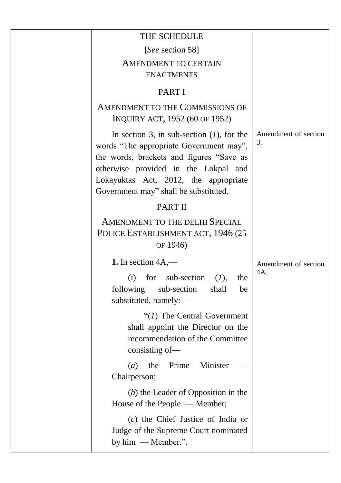| THE SCHEDULE                                                                                                                                                                                                                                                  |                            |
|---------------------------------------------------------------------------------------------------------------------------------------------------------------------------------------------------------------------------------------------------------------|----------------------------|
| [See section 58]                                                                                                                                                                                                                                              |                            |
| AMENDMENT TO CERTAIN                                                                                                                                                                                                                                          |                            |
| <b>ENACTMENTS</b>                                                                                                                                                                                                                                             |                            |
| <b>PARTI</b>                                                                                                                                                                                                                                                  |                            |
| <b>AMENDMENT TO THE COMMISSIONS OF</b><br>INQUIRY ACT, 1952 (60 OF 1952)                                                                                                                                                                                      |                            |
| In section 3, in sub-section $(1)$ , for the<br>words "The appropriate Government may",<br>the words, brackets and figures "Save as<br>otherwise provided in the Lokpal and<br>Lokayuktas Act, 2012, the appropriate<br>Government may" shall be substituted. | Amendment of section<br>3. |
| PART II                                                                                                                                                                                                                                                       |                            |
| AMENDMENT TO THE DELHI SPECIAL<br>POLICE ESTABLISHMENT ACT, 1946 (25<br>OF 1946)                                                                                                                                                                              |                            |
| 1. In section $4A,$ —                                                                                                                                                                                                                                         | Amendment of section       |
| (i)<br>for<br>sub-section<br>(I),<br>the                                                                                                                                                                                                                      | 4A                         |
| following<br>sub-section<br>shall<br>be<br>substituted, namely:-                                                                                                                                                                                              |                            |
| " $(I)$ The Central Government"<br>shall appoint the Director on the<br>recommendation of the Committee<br>consisting of-                                                                                                                                     |                            |
| Prime<br>Minister<br>(a)<br>the<br>Chairperson;                                                                                                                                                                                                               |                            |
| $(b)$ the Leader of Opposition in the<br>House of the People — Member;                                                                                                                                                                                        |                            |
| $(c)$ the Chief Justice of India or<br>Judge of the Supreme Court nominated<br>by $him$ — Member.".                                                                                                                                                           |                            |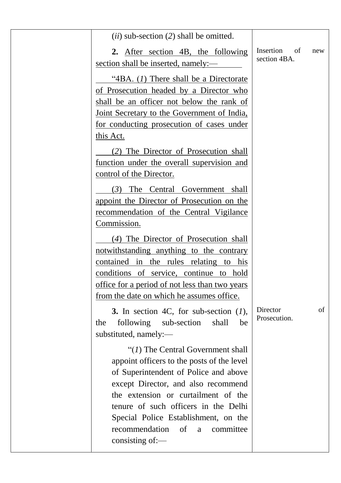| $(ii)$ sub-section $(2)$ shall be omitted.                                                                                                                                                                                                                                                                                                             | Insertion<br>of          |    |
|--------------------------------------------------------------------------------------------------------------------------------------------------------------------------------------------------------------------------------------------------------------------------------------------------------------------------------------------------------|--------------------------|----|
| 2. After section 4B, the following<br>section shall be inserted, namely:—                                                                                                                                                                                                                                                                              | new<br>section 4BA.      |    |
| "4BA. $(I)$ There shall be a Directorate<br>of Prosecution headed by a Director who<br>shall be an officer not below the rank of<br>Joint Secretary to the Government of India,<br>for conducting prosecution of cases under<br>this Act.                                                                                                              |                          |    |
| (2) The Director of Prosecution shall<br>function under the overall supervision and<br>control of the Director.                                                                                                                                                                                                                                        |                          |    |
| (3) The Central Government shall<br>appoint the Director of Prosecution on the<br>recommendation of the Central Vigilance<br>Commission.                                                                                                                                                                                                               |                          |    |
| (4) The Director of Prosecution shall<br>notwithstanding anything to the contrary<br>contained in the rules relating to his<br>conditions of service, continue to hold<br>office for a period of not less than two years<br>from the date on which he assumes office.                                                                                  |                          |    |
| 3. In section 4C, for sub-section $(1)$ ,<br>following sub-section<br>shall<br>the<br>be<br>substituted, namely:-                                                                                                                                                                                                                                      | Director<br>Prosecution. | of |
| " $(I)$ The Central Government shall<br>appoint officers to the posts of the level<br>of Superintendent of Police and above<br>except Director, and also recommend<br>the extension or curtailment of the<br>tenure of such officers in the Delhi<br>Special Police Establishment, on the<br>recommendation<br>of<br>committee<br>a<br>consisting of:- |                          |    |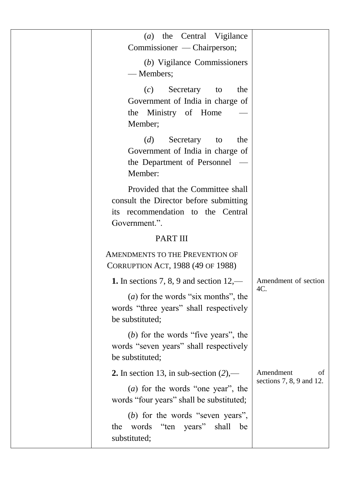| the Central Vigilance<br>(a)<br>Commissioner — Chairperson;                                                                       |             |                                                  |
|-----------------------------------------------------------------------------------------------------------------------------------|-------------|--------------------------------------------------|
| (b) Vigilance Commissioners<br>-Members;                                                                                          |             |                                                  |
| Secretary<br>(c)<br>Government of India in charge of<br>Ministry of Home<br>the<br>Member;                                        | to<br>the   |                                                  |
| (d)<br>Secretary<br>Government of India in charge of<br>the Department of Personnel<br>Member:                                    | the<br>to   |                                                  |
| Provided that the Committee shall<br>consult the Director before submitting<br>its recommendation to the Central<br>Government.". |             |                                                  |
| <b>PART III</b>                                                                                                                   |             |                                                  |
| AMENDMENTS TO THE PREVENTION OF<br>CORRUPTION ACT, 1988 (49 OF 1988)                                                              |             |                                                  |
| 1. In sections 7, 8, 9 and section $12,$ —                                                                                        | 4C.         | Amendment of section                             |
| $(a)$ for the words "six months", the<br>words "three years" shall respectively<br>be substituted;                                |             |                                                  |
| $(b)$ for the words "five years", the<br>words "seven years" shall respectively<br>be substituted;                                |             |                                                  |
| 2. In section 13, in sub-section $(2)$ ,—                                                                                         |             | Amendment<br>of<br>sections $7, 8, 9$ and $12$ . |
| $(a)$ for the words "one year", the<br>words "four years" shall be substituted;                                                   |             |                                                  |
| $(b)$ for the words "seven years",<br>the words<br>years"<br>"ten<br>substituted;                                                 | shall<br>be |                                                  |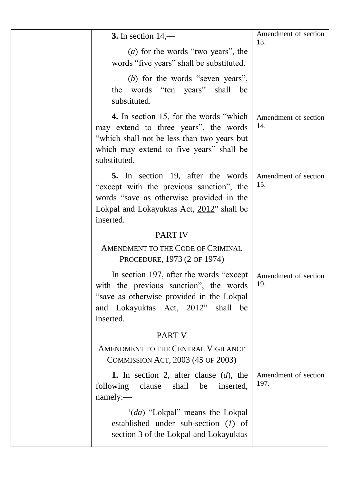| 3. In section $14,$ —                                                                                                                                                                      | Amendment of section<br>13.  |
|--------------------------------------------------------------------------------------------------------------------------------------------------------------------------------------------|------------------------------|
| $(a)$ for the words "two years", the<br>words "five years" shall be substituted.                                                                                                           |                              |
| $(b)$ for the words "seven years",<br>the words "ten years" shall<br>be<br>substituted.                                                                                                    |                              |
| 4. In section 15, for the words "which<br>may extend to three years", the words<br>"which shall not be less than two years but<br>which may extend to five years" shall be<br>substituted. | Amendment of section<br>14.  |
| 5. In section 19, after the words<br>"except with the previous sanction", the<br>words "save as otherwise provided in the<br>Lokpal and Lokayuktas Act, 2012" shall be<br>inserted.        | Amendment of section<br>15.  |
| <b>PART IV</b>                                                                                                                                                                             |                              |
| AMENDMENT TO THE CODE OF CRIMINAL<br>PROCEDURE, 1973 (2 OF 1974)                                                                                                                           |                              |
| In section 197, after the words "except"<br>with the previous sanction", the words<br>"save as otherwise provided in the Lokpal<br>and Lokayuktas Act, 2012" shall be<br>inserted.         | Amendment of section<br>19.  |
| <b>PART V</b>                                                                                                                                                                              |                              |
| AMENDMENT TO THE CENTRAL VIGILANCE<br>COMMISSION ACT, 2003 (45 OF 2003)                                                                                                                    |                              |
| 1. In section 2, after clause $(d)$ , the<br>following<br>clause<br>shall<br>be<br>inserted,<br>namely:-                                                                                   | Amendment of section<br>197. |
| '(da) "Lokpal" means the Lokpal<br>established under sub-section $(I)$ of<br>section 3 of the Lokpal and Lokayuktas                                                                        |                              |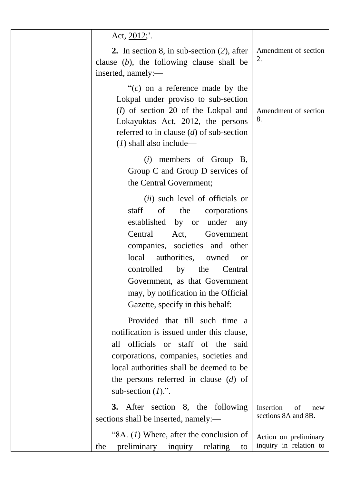| Act, $2012$ .                                                                                                                                                                                                                                                                                                                                                                  |                                                 |
|--------------------------------------------------------------------------------------------------------------------------------------------------------------------------------------------------------------------------------------------------------------------------------------------------------------------------------------------------------------------------------|-------------------------------------------------|
| 2. In section 8, in sub-section $(2)$ , after<br>clause $(b)$ , the following clause shall be<br>inserted, namely:-                                                                                                                                                                                                                                                            | Amendment of section<br>2.                      |
| " $(c)$ on a reference made by the<br>Lokpal under proviso to sub-section<br>$(I)$ of section 20 of the Lokpal and<br>Lokayuktas Act, 2012, the persons<br>referred to in clause $(d)$ of sub-section<br>$(1)$ shall also include—                                                                                                                                             | Amendment of section<br>8.                      |
| $(i)$ members of Group B,<br>Group C and Group D services of<br>the Central Government;                                                                                                                                                                                                                                                                                        |                                                 |
| (ii) such level of officials or<br>staff of the<br>corporations<br>established<br>by or<br>under<br>any<br>Central<br>Act,<br>Government<br>companies, societies and other<br>authorities,<br>local<br>owned<br><sub>or</sub><br>controlled<br>by the<br>Central<br>Government, as that Government<br>may, by notification in the Official<br>Gazette, specify in this behalf: |                                                 |
| Provided that till such time a<br>notification is issued under this clause,<br>officials or staff of the<br>all<br>said<br>corporations, companies, societies and<br>local authorities shall be deemed to be<br>the persons referred in clause $(d)$ of<br>sub-section $(I)$ .".                                                                                               |                                                 |
| After section 8, the following<br><b>3.</b><br>sections shall be inserted, namely:-                                                                                                                                                                                                                                                                                            | Insertion<br>οf<br>new<br>sections 8A and 8B.   |
| "8A. $(1)$ Where, after the conclusion of<br>preliminary<br>relating<br>the<br>inquiry<br>to                                                                                                                                                                                                                                                                                   | Action on preliminary<br>inquiry in relation to |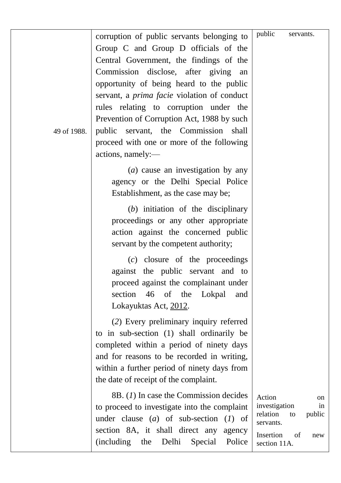| 49 of 1988. | corruption of public servants belonging to<br>Group C and Group D officials of the<br>Central Government, the findings of the<br>Commission disclose, after giving<br>an<br>opportunity of being heard to the public<br>servant, a <i>prima facie</i> violation of conduct<br>rules relating to corruption under the<br>Prevention of Corruption Act, 1988 by such<br>public servant, the Commission<br>shall<br>proceed with one or more of the following<br>actions, namely:- | public<br>servants.                                                                                                    |
|-------------|---------------------------------------------------------------------------------------------------------------------------------------------------------------------------------------------------------------------------------------------------------------------------------------------------------------------------------------------------------------------------------------------------------------------------------------------------------------------------------|------------------------------------------------------------------------------------------------------------------------|
|             | $(a)$ cause an investigation by any<br>agency or the Delhi Special Police<br>Establishment, as the case may be;<br>$(b)$ initiation of the disciplinary<br>proceedings or any other appropriate<br>action against the concerned public<br>servant by the competent authority;                                                                                                                                                                                                   |                                                                                                                        |
|             | $(c)$ closure of the proceedings<br>against the public servant and to<br>proceed against the complainant under<br>46 of the Lokpal<br>section<br>and<br>Lokayuktas Act, 2012.                                                                                                                                                                                                                                                                                                   |                                                                                                                        |
|             | (2) Every preliminary inquiry referred<br>to in sub-section (1) shall ordinarily be<br>completed within a period of ninety days<br>and for reasons to be recorded in writing,<br>within a further period of ninety days from<br>the date of receipt of the complaint.                                                                                                                                                                                                           |                                                                                                                        |
|             | 8B. (1) In case the Commission decides<br>to proceed to investigate into the complaint<br>under clause $(a)$ of sub-section $(I)$ of<br>section 8A, it shall direct any<br>agency<br>(including<br>the<br>Delhi<br>Special<br>Police                                                                                                                                                                                                                                            | Action<br>on<br>investigation<br>in<br>relation<br>public<br>to<br>servants.<br>Insertion<br>of<br>new<br>section 11A. |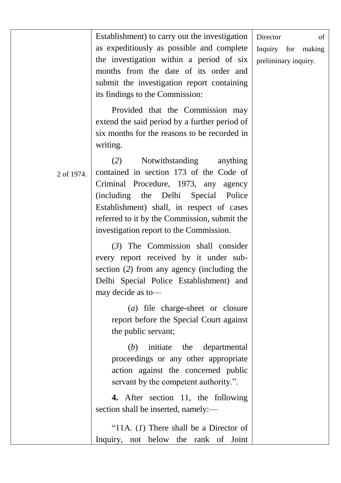|            | Establishment) to carry out the investigation<br>as expeditiously as possible and complete<br>the investigation within a period of six<br>months from the date of its order and<br>submit the investigation report containing<br>its findings to the Commission:                                                     | Director<br>of<br>Inquiry for<br>making<br>preliminary inquiry. |
|------------|----------------------------------------------------------------------------------------------------------------------------------------------------------------------------------------------------------------------------------------------------------------------------------------------------------------------|-----------------------------------------------------------------|
|            | Provided that the Commission may<br>extend the said period by a further period of<br>six months for the reasons to be recorded in<br>writing.                                                                                                                                                                        |                                                                 |
| 2 of 1974. | (2)<br>Notwithstanding<br>anything<br>contained in section 173 of the Code of<br>Criminal Procedure, 1973, any<br>agency<br>(including)<br>the<br>Delhi<br>Special<br>Police<br>Establishment) shall, in respect of cases<br>referred to it by the Commission, submit the<br>investigation report to the Commission. |                                                                 |
|            | $(3)$ The Commission shall consider<br>every report received by it under sub-<br>section (2) from any agency (including the<br>Delhi Special Police Establishment) and<br>may decide as to-                                                                                                                          |                                                                 |
|            | (a) file charge-sheet or closure<br>report before the Special Court against<br>the public servant;                                                                                                                                                                                                                   |                                                                 |
|            | initiate<br>the<br>(b)<br>departmental<br>proceedings or any other appropriate<br>action against the concerned public<br>servant by the competent authority.".                                                                                                                                                       |                                                                 |
|            | 4. After section 11, the following<br>section shall be inserted, namely:-                                                                                                                                                                                                                                            |                                                                 |
|            | "11A. $(I)$ There shall be a Director of<br>Inquiry, not below the rank of Joint                                                                                                                                                                                                                                     |                                                                 |